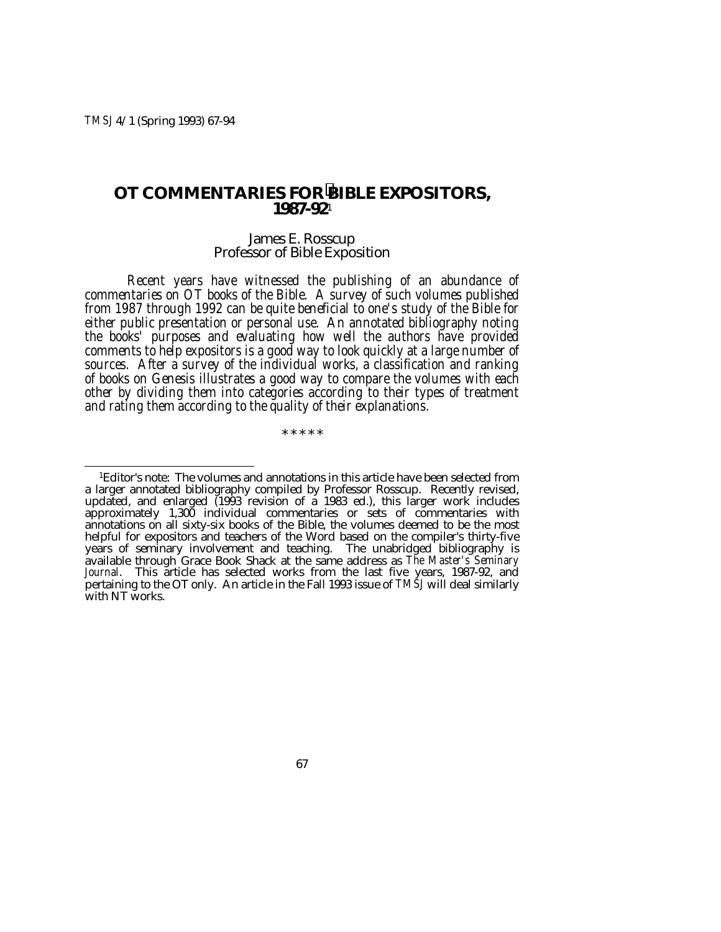*TMSJ* 4/1 (Spring 1993) 67-94

# **OT COMMENTARIES FOR BIBLE EXPOSITORS, 1987-92**<sup>1</sup>

# James E. Rosscup Professor of Bible Exposition

*Recent years have witnessed the publishing of an abundance of commentaries on OT books of the Bible. A survey of such volumes published from 1987 through 1992 can be quite beneficial to one's study of the Bible for either public presentation or personal use. An annotated bibliography noting the books' purposes and evaluating how well the authors have provided comments to help expositors is a good way to look quickly at a large number of sources. After a survey of the individual works, a classification and ranking of books on Genesis illustrates a good way to compare the volumes with each other by dividing them into categories according to their types of treatment and rating them according to the quality of their explanations.*

\* \* \* \* \*

 <sup>1</sup>Editor's note: The volumes and annotations in this article have been selected from a larger annotated bibliography compiled by Professor Rosscup. Recently revised, updated, and enlarged (1993 revision of a 1983 ed.), this larger work includes approximately 1,300 individual commentaries or sets of commentaries with annotations on all sixty-six books of the Bible, the volumes deemed to be the most helpful for expositors and teachers of the Word based on the compiler's thirty-five years of seminary involvement and teaching. The unabridged bibliography is available through Grace Book Shack at the same address as *The Master's Seminary* available through Grace Book Shack at the same address as *The Master's Seminary Journal*. This article has selected works from the last five years, 1987-92, and pertaining to the OT only. An article in the Fall 1993 issue of *TMSJ* will deal similarly with NT works.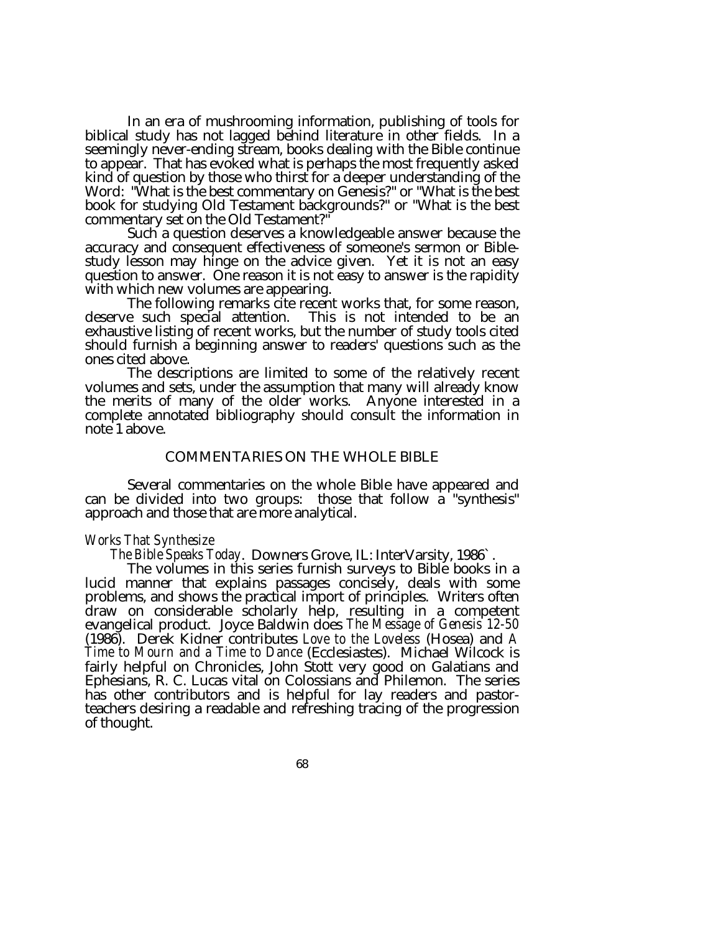In an era of mushrooming information, publishing of tools for biblical study has not lagged behind literature in other fields. In a seemingly never-ending stream, books dealing with the Bible continue to appear. That has evoked what is perhaps the most frequently asked kind of question by those who thirst for a deeper understanding of the Word: "What is the best commentary on Genesis?" or "What is the best book for studying Old Testament backgrounds?" or "What is the best commentary set on the Old Testament?"

Such a question deserves a knowledgeable answer because the accuracy and consequent effectiveness of someone's sermon or Biblestudy lesson may hinge on the advice given. Yet it is not an easy question to answer. One reason it is not easy to answer is the rapidity<br>with which new volumes are appearing.

The following remarks cite recent works that, for some reason, deserve such special attention. This is not intended to be an exhaustive listing of recent works, but the number of study tools cited should furnish a beginning answer to readers' questions such as the ones cited above.<br>The descriptions are limited to some of the relatively recent

volumes and sets, under the assumption that many will already know the merits of many of the older works. Anyone interested in a complete annotated bibliography should consult the information in note 1 above.

# COMMENTARIES ON THE WHOLE BIBLE

Several commentaries on the whole Bible have appeared and can be divided into two groups: those that follow a "synthesis" approach and those that are more analytical.

Works That Synthesize<br>The Bible Speaks Today. Downers Grove, IL: InterVarsity, 1986`.<br>The volumes in this series furnish surveys to Bible books in a<br>lucid manner that explains passages concisely, deals with some problems, and shows the practical import of principles. Writers often draw on considerable scholarly help, resulting in a competent evangelical product. Joyce Baldwin does *The Message of Genesis 12-50* (1986). Derek Kidner contributes *Love to the Loveless* (Hosea) and *A Time to Mourn and a Time to Dance* (Ecclesiastes). Michael Wilcock is fairly helpful on Chronicles, John Stott very good on Galatians and Ephesians, R. C. Lucas vital on Colossians and Philemon. The series has other contributors and is helpful for lay readers and pastorteachers desiring a readable and refreshing tracing of the progression of thought.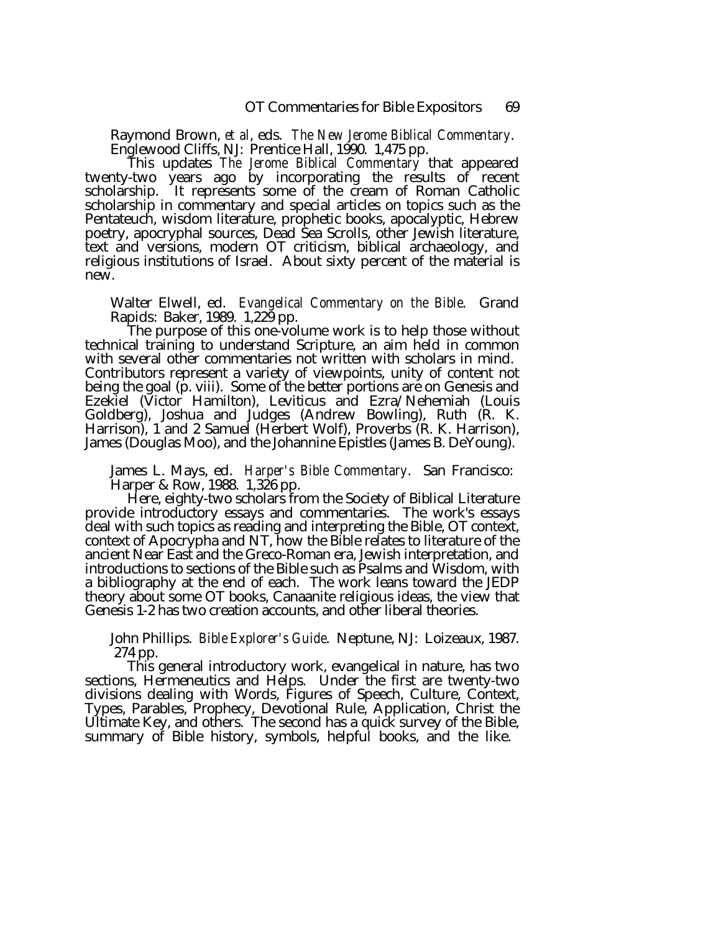Raymond Brown, *et al*, eds. *The New Jerome Biblical Commentary*. Englewood Cliffs, NJ: Prentice Hall, 1990. 1,475 pp. This updates *The Jerome Biblical Commentary* that appeared

twenty-two years ago by incorporating the results of recent scholarship. It represents some of the cream of Roman Catholic scholarship in commentary and special articles on topics such as the Pentateuch, wisdom literature, prophetic books, apocalyptic, Hebrew poetry, apocryphal sources, Dead Sea Scrolls, other Jewish literature, text and versions, modern OT criticism, biblical archaeology, and religious institutions of Israel. About sixty percent of the material is new.

Walter Elwell, ed. *Evangelical Commentary on the Bible*. Grand Rapids: Baker, 1989. 1,229 pp.

The purpose of this one-volume work is to help those without technical training to understand Scripture, an aim held in common with several other commentaries not written with scholars in mind. Contributors represent a variety of viewpoints, unity of content not being the goal (p. viii). Some of the better portions are on Genesis and Ezekiel (Victor Hamilton), Leviticus and Ezra/Nehemiah (Louis Goldberg), Joshua and Judges (Andrew Bowling), Ruth (R. K. Harrison), 1 and 2 Samuel (Herbert Wolf), Proverbs (R. K. Harrison), James (Douglas Moo), and the Johannine Epistles (James B. DeYoung).

James L. Mays, ed. *Harper's Bible Commentary*. San Francisco: Harper & Row, 1988. 1,326 pp.

provide introductory essays and commentaries. The work's essays deal with such topics as reading and interpreting the Bible, OT context, context of Apocrypha and NT, how the Bible relates to literature of the ancient Near East and the Greco-Roman era, Jewish interpretation, and introductions to sections of the Bible such as Psalms and Wisdom, with a bibliography at the end of each. The work leans toward the JEDP theory about some OT books, Canaanite religious ideas, the view that Genesis 1-2 has two creation accounts, and other liberal theories.

John Phillips. *Bible Explorer's Guide*. Neptune, NJ: Loizeaux, 1987. 274 pp.

This general introductory work, evangelical in nature, has two sections, Hermeneutics and Helps. Under the first are twenty-two divisions dealing with Words, Figures of Speech, Culture, Context, Types, Parables, Prophecy, Devotional Rule, Application, Christ the Ultimate Key, and others. The second has a quick survey of the Bible, summary of Bible history, symbols, helpful books, and the like.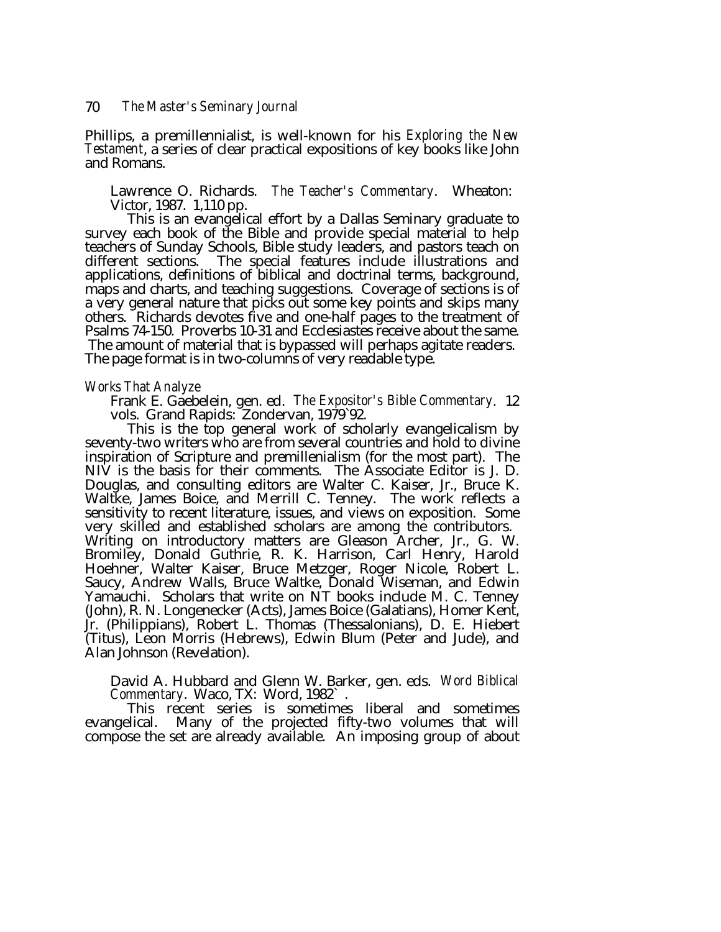Phillips, a premillennialist, is well-known for his *Exploring the New Testament*, a series of clear practical expositions of key books like John and Romans.

Lawrence O. Richards. *The Teacher's Commentary*. Wheaton: Victor, 1987. 1,110 pp.<br>This is an evangelical effort by a Dallas Seminary graduate to

survey each book of the Bible and provide special material to help teachers of Sunday Schools, Bible study leaders, and pastors teach on different sections. The special features include illustrations and applications, definitions of biblical and doctrinal terms, background, maps and charts, and teaching suggestions. Coverage of sections is of a very general nature that picks out some key points and skips many others. Richards devotes five and one-half pages to the treatment of Psalms 74-150. Proverbs 10-31 and Ecclesiastes receive about the same. The amount of material that is bypassed will perhaps agitate readers. The page format is in two-columns of very readable type.

#### *Works That Analyze*

Frank E. Gaebelein, gen. ed. *The Expositor's Bible Commentary*. 12 vols. Grand Rapids: Zondervan, 1979`92.

This is the top general work of scholarly evangelicalism by seventy-two writers who are from several countries and hold to divine inspiration of Scripture and premillenialism (for the most part). The NIV is the basis for their comments. The Associate Editor is J. D. Douglas, and consulting editors are Walter C. Kaiser, Jr., Bruce K. Waltke, James Boice, and Merrill C. Tenney. The work reflects a sensitivity to recent literature, issues, and views on exposition. Some very skilled and established scholars are among the contributors. Writing on introductory matters are Gleason Archer, Jr., G. W. Bromiley, Donald Guthrie, R. K. Harrison, Carl Henry, Harold Hoehner, Walter Kaiser, Bruce Metzger, Roger Nicole, Robert L. Saucy, Andrew Walls, Bruce Waltke, Donald Wiseman, and Edwin Yamauchi. Scholars that write on NT books include M. C. Tenney (John), R. N. Longenecker (Acts), James Boice (Galatians), Homer Kent, Jr. (Philippians), Robert L. Thomas (Thessalonians), D. E. Hiebert (Titus), Leon Morris (Hebrews), Edwin Blum (Peter and Jude), and Alan Johnson (Revelation).

David A. Hubbard and Glenn W. Barker, gen. eds. *Word Biblical Commentary*. Waco, TX: Word, 1982` .

This recent series is sometimes liberal and sometimes evangelical. Many of the projected fifty-two volumes that will compose the set are already available. An imposing group of about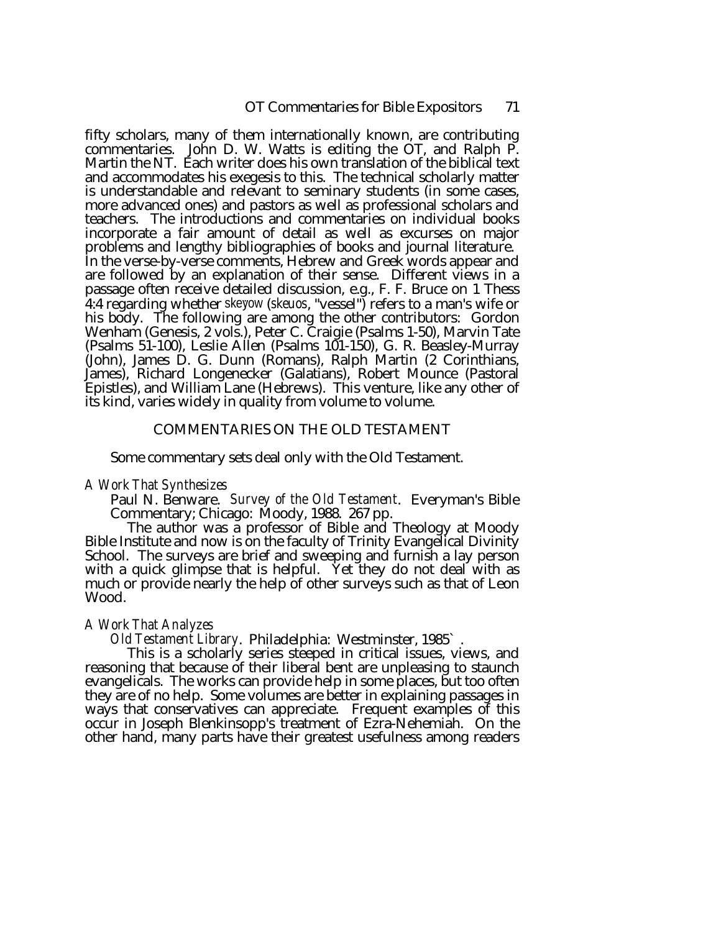fifty scholars, many of them internationally known, are contributing commentaries. John D. W. Watts is editing the OT, and Ralph P. Martin the NT. Each writer does his own translation of the biblical text and accommodates his exegesis to this. The technical scholarly matter is understandable and relevant to seminary students (in some cases, more advanced ones) and pastors as well as professional scholars and teachers. The introductions and commentaries on individual books incorporate a fair amount of detail as well as excurses on major problems and lengthy bibliographies of books and journal literature. In the verse-by-verse comments, Hebrew and Greek words appear and are followed by an explanation of their sense. Different views in a passage often receive detailed discussion, e.g., F. F. Bruce on 1 Thess 4:4 regarding whether skeyow (*skeuos*, "vessel") refers to a man's wife or his body. The following are among the other contributors: Gordon Wenham (Genesis, 2 vols.), Peter C. Craigie (Psalms 1-50), Marvin Tate (Psalms 51-100), Leslie Allen (Psalms 101-150), G. R. Beasley-Murray (John), James D. G. Dunn (Romans), Ralph Martin (2 Corinthians, James), Richard Longenecker (Galatians), Robert Mounce (Pastoral Epistles), and William Lane (Hebrews). This venture, like any other of its kind, varies widely in quality from volume to volume.

# COMMENTARIES ON THE OLD TESTAMENT

Some commentary sets deal only with the Old Testament.

*A Work That Synthesizes*

Commentary; Chicago: Moody, 1988. 267 pp.<br>The author was a professor of Bible and Theology at Moody<br>Bible Institute and now is on the faculty of Trinity Evangelical Divinity School. The surveys are brief and sweeping and furnish a lay person with a quick glimpse that is helpful. Yet they do not deal with as much or provide nearly the help of other surveys such as that of Leon Wood.

*A Work That Analyzes Old Testament Library*. Philadelphia: Westminster, 1985` . reasoning that because of their liberal bent are unpleasing to staunch evangelicals. The works can provide help in some places, but too often they are of no help. Some volumes are better in explaining passages in ways that conservatives can appreciate. Frequent examples of this occur in Joseph Blenkinsopp's treatment of Ezra-Nehemiah. On the other hand, many parts have their greatest usefulness among readers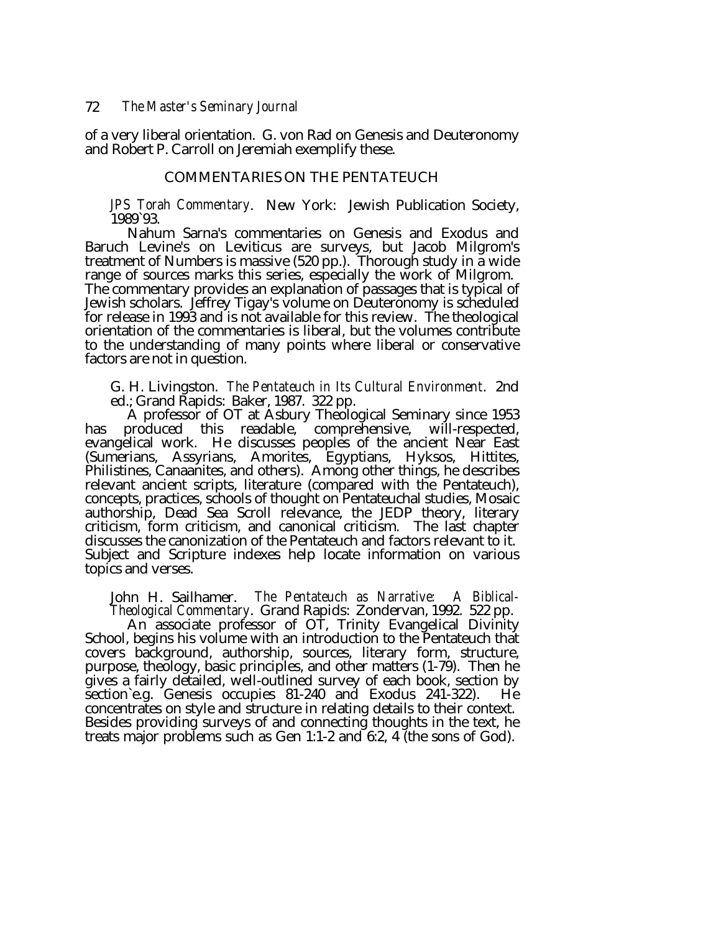of a very liberal orientation. G. von Rad on Genesis and Deuteronomy and Robert P. Carroll on Jeremiah exemplify these.

# COMMENTARIES ON THE PENTATEUCH

*JPS Torah Commentary*. New York: Jewish Publication Society, 1989`93.

Nahum Sarna's commentaries on Genesis and Exodus and Baruch Levine's on Leviticus are surveys, but Jacob Milgrom's treatment of Numbers is massive (520 pp.). Thorough study in a wide range of sources marks this series, especially the work of Milgrom. The commentary provides an explanation of passages that is typical of Jewish scholars. Jeffrey Tigay's volume on Deuteronomy is scheduled for release in 1993 and is not available for this review. The theological orientation of the commentaries is liberal, but the volumes contribute to the understanding of many points where liberal or conservative factors are not in question.

G. H. Livingston. *The Pentateuch in Its Cultural Environment*. 2nd ed.; Grand Rapids: Baker, 1987. 322 pp.

A professor of OT at Asbury Theological Seminary since 1953 has produced this readable, comprehensive, will-respected, evangelical work. He discusses peoples of the ancient Near East (Sumerians, Assyrians, Amorites, Egyptians, Hyksos, Hittites, Philistines, Canaanites, and others). Among other things, he describes relevant ancient scripts, literature (compared with the Pentateuch), concepts, practices, schools of thought on Pentateuchal studies, Mosaic authorship, Dead Sea Scroll relevance, the JEDP theory, literary criticism, form criticism, and canonical criticism. The last chapter discusses the canonization of the Pentateuch and factors relevant to it. Subject and Scripture indexes help locate information on various topics and verses.

John H. Sailhamer. *The Pentateuch as Narrative: A Biblical-Theological Commentary*. Grand Rapids: Zondervan, 1992. 522 pp.

School, begins his volume with an introduction to the Pentateuch that covers background, authorship, sources, literary form, structure, purpose, theology, basic principles, and other matters (1-79). Then he gives a fairly detailed, well-outlined survey of each book, section by section`e.g. Genesis occupies 81-240 and Exodus 241-322). He concentrates on style and structure in relating details to their context. Besides providing surveys of and connecting thoughts in the text, he treats major problems such as Gen 1:1-2 and 6:2, 4 (the sons of God).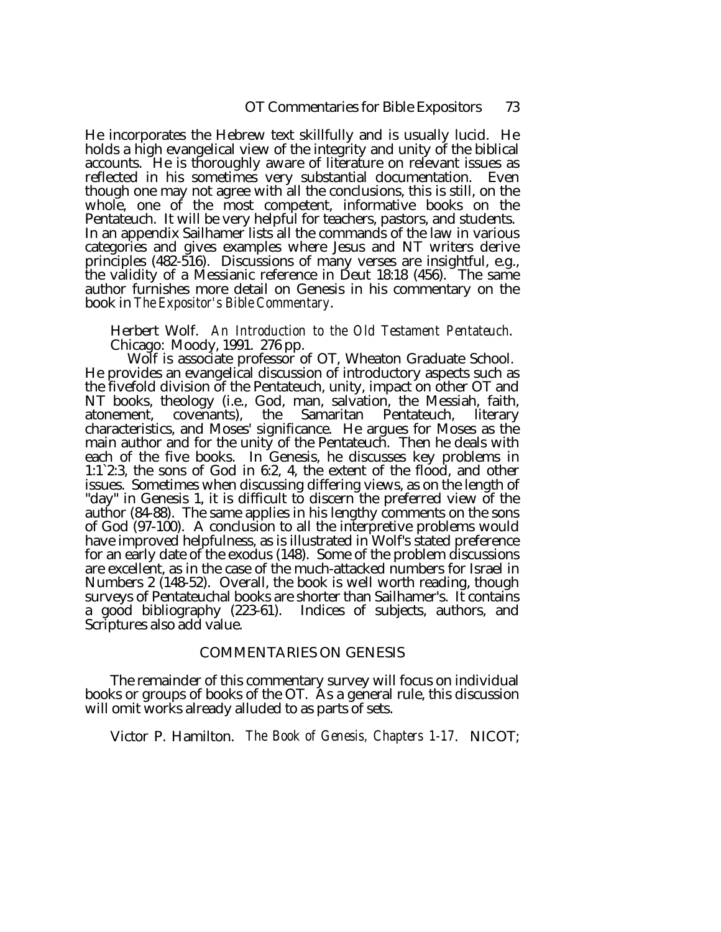He incorporates the Hebrew text skillfully and is usually lucid. He holds a high evangelical view of the integrity and unity of the biblical accounts. He is thoroughly aware of literature on relevant issues as reflected in his sometimes very substantial documentation. Even though one may not agree with all the conclusions, this is still, on the whole, one of the most competent, informative books on the Pentateuch. It will be very helpful for teachers, pastors, and students. In an appendix Sailhamer lists all the commands of the law in various categories and gives examples where Jesus and NT writers derive principles (482-516). Discussions of many verses are insightful, e.g., the validity of a Messianic reference in Deut 18:18 (456). The same author furnishes more detail on Genesis in his commentary on the book in *The Expositor's Bible Commentary*.

Herbert Wolf. *An Introduction to the Old Testament Pentateuch*.<br>Chicago: Moody, 1991. 276 pp. Wolf is associate professor of OT, Wheaton Graduate School.

He provides an evangelical discussion of introductory aspects such as the fivefold division of the Pentateuch, unity, impact on other OT and NT books, theology (i.e., God, man, salvation, the Messiah, faith, atonement, covenants), the Samaritan Pentateuch, literary characteristics, and Moses' significance. He argues for Moses as the main author and for the unity of the Pentateuch. Then he deals with each of the five books. In Genesis, he discusses key problems in 1:1`2:3, the sons of God in 6:2, 4, the extent of the flood, and other issues. Sometimes when discussing differing views, as on the length of "day" in Genesis 1, it is difficult to discern the preferred view of the author (84-88). The same applies in his lengthy comments on the sons of God (97-100). A conclusion to all the interpretive problems would have improved helpfulness, as is illustrated in Wolf's stated preference for an early date of the exodus (148). Some of the problem discussions are excellent, as in the case of the much-attacked numbers for Israel in Numbers 2 (148-52). Overall, the book is well worth reading, though surveys of Pentateuchal books are shorter than Sailhamer's. It contains a good bibliography (223-61). Indices of subjects, authors, and Scriptures also add value.

# COMMENTARIES ON GENESIS

The remainder of this commentary survey will focus on individual books or groups of books of the OT. As a general rule, this discussion will omit works already alluded to as parts of sets.

Victor P. Hamilton. *The Book of Genesis, Chapters 1-17*. NICOT;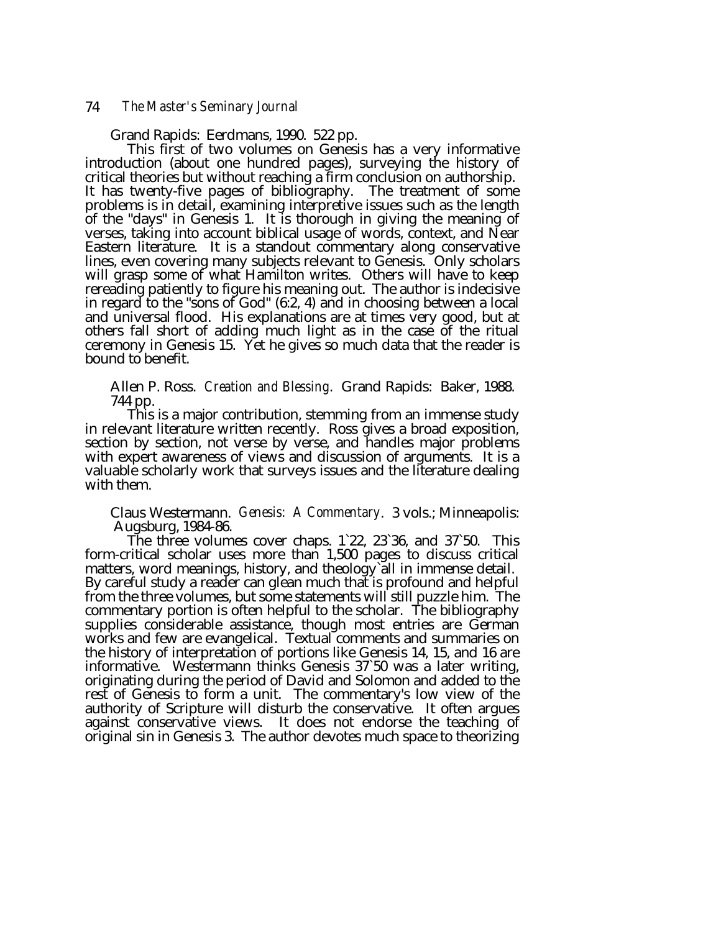## 74 *The Master's Seminary Journal*

Grand Rapids: Eerdmans, 1990. 522 pp.

This first of two volumes on Genesis has a very informative introduction (about one hundred pages), surveying the history of critical theories but without reaching a firm conclusion on authorship. It has twenty-five pages of bibliography. The treatment of some problems is in detail, examining interpretive issues such as the length of the "days" in Genesis 1. It is thorough in giving the meaning of verses, taking into account biblical usage of words, context, and Near Eastern literature. It is a standout commentary along conservative lines, even covering many subjects relevant to Genesis. Only scholars will grasp some of what Hamilton writes. Others will have to keep rereading patiently to figure his meaning out. The author is indecisive in regard to the "sons of God" (6:2, 4) and in choosing between a local and universal flood. His explanations are at times very good, but at others fall short of adding much light as in the case of the ritual ceremony in Genesis 15. Yet he gives so much data that the reader is bound to benefit.

Allen P. Ross. *Creation and Blessing*. Grand Rapids: Baker, 1988. 744 pp.

This is a major contribution, stemming from an immense study in relevant literature written recently. Ross gives a broad exposition, section by section, not verse by verse, and handles major problems with expert awareness of views and discussion of arguments. It is a valuable scholarly work that surveys issues and the literature dealing with them.

Claus Westermann. *Genesis: A Commentary*. 3 vols.; Minneapolis:

 Augsburg, 1984-86. The three volumes cover chaps. 1`22, 23`36, and 37`50. This form-critical scholar uses more than 1,500 pages to discuss critical matters, word meanings, history, and theology`all in immense detail. By careful study a reader can glean much that is profound and helpful from the three volumes, but some statements will still puzzle him. The commentary portion is often helpful to the scholar. The bibliography supplies considerable assistance, though most entries are German works and few are evangelical. Textual comments and summaries on the history of interpretation of portions like Genesis 14, 15, and 16 are informative. Westermann thinks Genesis 37`50 was a later writing, originating during the period of David and Solomon and added to the rest of Genesis to form a unit. The commentary's low view of the authority of Scripture will disturb the conservative. It often argues against conservative views. It does not endorse the teaching of original sin in Genesis 3. The author devotes much space to theorizing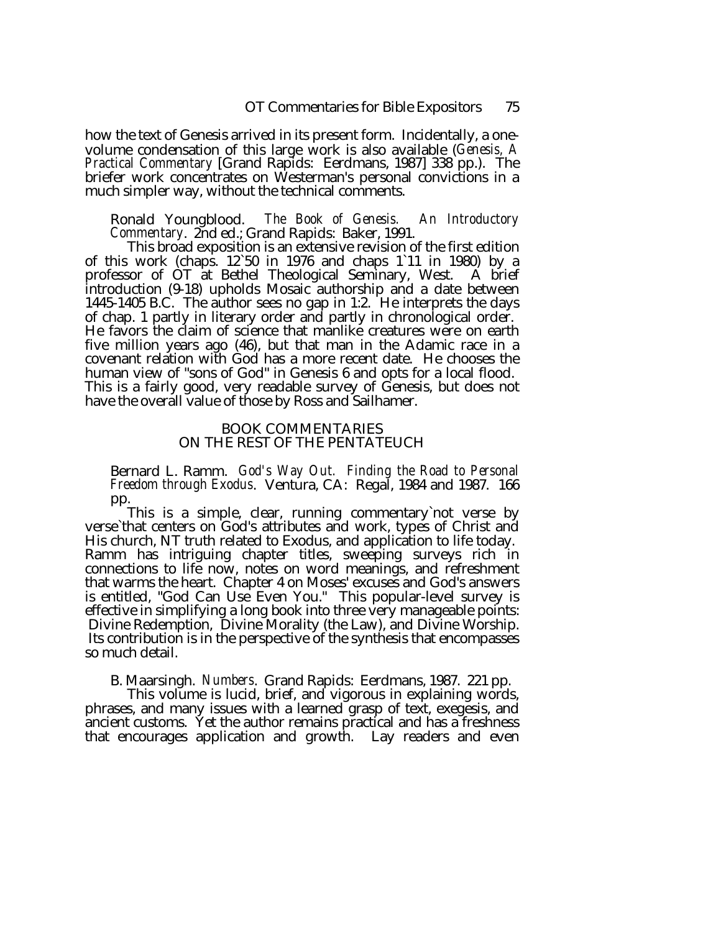how the text of Genesis arrived in its present form. Incidentally, a onevolume condensation of this large work is also available (*Genesis, A Practical Commentary* [Grand Rapids: Eerdmans, 1987] 338 pp.). The briefer work concentrates on Westerman's personal convictions in a much simpler way, without the technical comments.

Ronald Youngblood. *The Book of Genesis. An Introductory Commentary*. 2nd ed.; Grand Rapids: Baker, 1991.

of this work (chaps.  $12.50$  in 1976 and chaps 1`11 in 1980) by a professor of OT at Bethel Theological Seminary, West. A brief introduction (9-18) upholds Mosaic authorship and a date between 1445-1405 B.C. The author sees no gap in 1:2. He interprets the days of chap. 1 partly in literary order and partly in chronological order. He favors the claim of science that manlike creatures were on earth five million years ago (46), but that man in the Adamic race in a covenant relation with God has a more recent date. He chooses the human view of "sons of God" in Genesis 6 and opts for a local flood. This is a fairly good, very readable survey of Genesis, but does not have the overall value of those by Ross and Sailhamer.

# BOOK COMMENTARIES ON THE REST OF THE PENTATEUCH

Bernard L. Ramm. *God's Way Out. Finding the Road to Personal Freedom through Exodus*. Ventura, CA: Regal, 1984 and 1987. 166

pp.<br>This is a simple, clear, running commentary not verse by verse'that centers on God's attributes and work, types of Christ and His church, NT truth related to Exodus, and application to life today. Ramm has intriguing chapter titles, sweeping surveys rich in connections to life now, notes on word meanings, and refreshment that warms the heart. Chapter 4 on Moses' excuses and God's answers is entitled, "God Can Use Even You." This popular-level survey is effective in simplifying a long book into three very manageable points: Divine Redemption, Divine Morality (the Law), and Divine Worship. Its contribution is in the perspective of the synthesis that encompasses so much detail.

B. Maarsingh. *Numbers*. Grand Rapids: Eerdmans, 1987. 221 pp.

This volume is lucid, brief, and vigorous in explaining words, phrases, and many issues with a learned grasp of text, exegesis, and ancient customs. Yet the author remains practical and has a freshness that encourages application and growth. Lay readers and even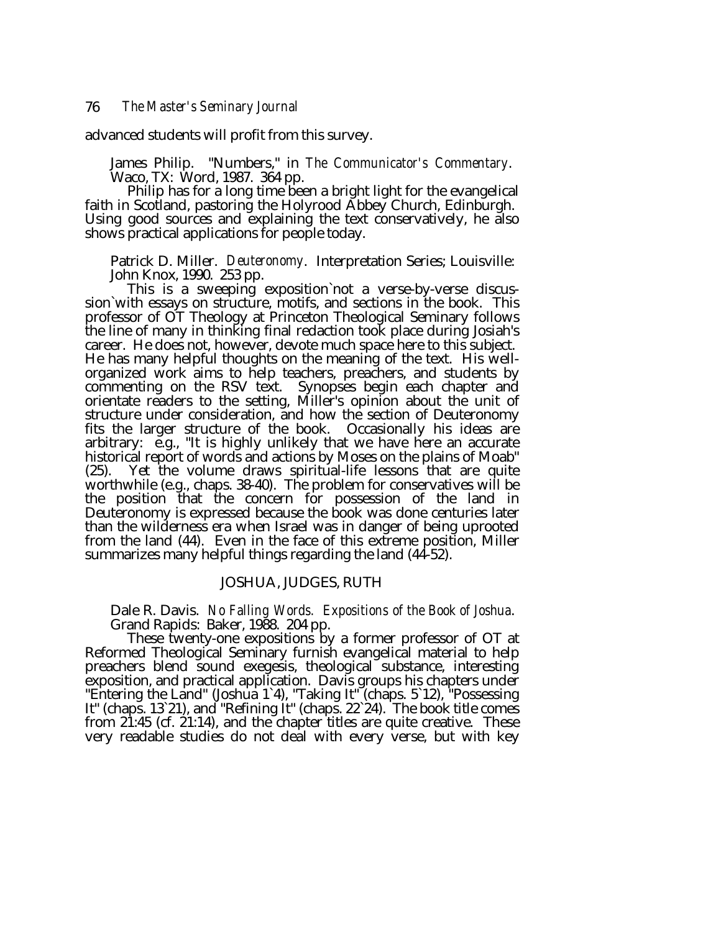advanced students will profit from this survey.

James Philip. "Numbers," in *The Communicator's Commentary*. Waco, TX: Word, 1987. 364 pp.

faith in Scotland, pastoring the Holyrood Abbey Church, Edinburgh. Using good sources and explaining the text conservatively, he also shows practical applications for people today.

Patrick D. Miller. *Deuteronomy*. Interpretation Series; Louisville: John Knox, 1990. 253 pp.

This is a sweeping exposition`not a verse-by-verse discus- sion`with essays on structure, motifs, and sections in the book. This professor of OT Theology at Princeton Theological Seminary follows the line of many in thinking final redaction took place during Josiah's career. He does not, however, devote much space here to this subject. He has many helpful thoughts on the meaning of the text. His wellorganized work aims to help teachers, preachers, and students by commenting on the RSV text. Synopses begin each chapter and orientate readers to the setting, Miller's opinion about the unit of structure under consideration, and how the section of Deuteronomy fits the larger structure of the book. Occasionally his ideas are arbitrary: e.g., "It is highly unlikely that we have here an accurate historical report of words and actions by Moses on the plains of Moab"<br>(25). Yet the volume draws spiritual-life lessons that are quite Yet the volume draws spiritual-life lessons that are quite worthwhile (e.g., chaps. 38-40). The problem for conservatives will be the position that the concern for possession of the land in Deuteronomy is expressed because the book was done centuries later than the wilderness era when Israel was in danger of being uprooted from the land (44). Even in the face of this extreme position, Miller summarizes many helpful things regarding the land (44-52).

# JOSHUA, JUDGES, RUTH

Dale R. Davis. *No Falling Words. Expositions of the Book of Joshua*. Grand Rapids: Baker, 1988. 204 pp.

Reformed Theological Seminary furnish evangelical material to help preachers blend sound exegesis, theological substance, interesting exposition, and practical application. Davis groups his chapters under "Entering the Land" (Joshua 1`4), "Taking It" (chaps. 5`12), "Possessing It" (chaps. 13`21), and "Refining It" (chaps. 22`24). The book title comes from 21:45 (cf. 21:14), and the chapter titles are quite creative. These very readable studies do not deal with every verse, but with key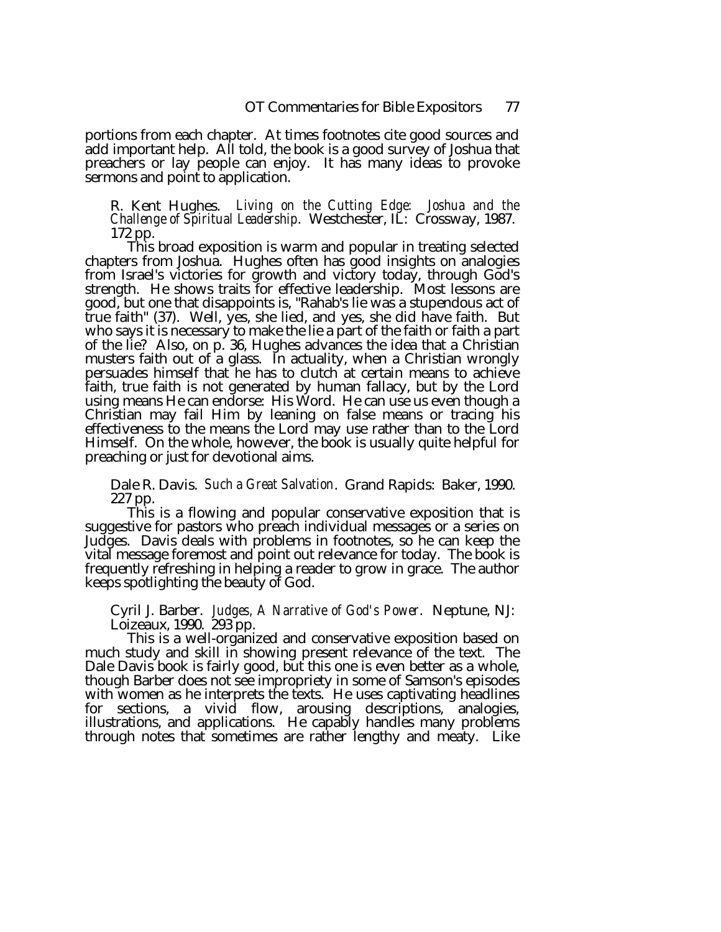portions from each chapter. At times footnotes cite good sources and add important help. All told, the book is a good survey of Joshua that preachers or lay people can enjoy. It has many ideas to provoke sermons and point to application.

R. Kent Hughes. *Living on the Cutting Edge: Joshua and the Challenge of Spiritual Leadership*. Westchester, IL: Crossway, 1987. 172 pp.

This broad exposition is warm and popular in treating selected chapters from Joshua. Hughes often has good insights on analogies from Israel's victories for growth and victory today, through God's strength. He shows traits for effective leadership. Most lessons are good, but one that disappoints is, "Rahab's lie was a stupendous act of true faith" (37). Well, yes, she lied, and yes, she did have faith. But who says it is necessary to make the lie a part of the faith or faith a part of the lie? Also, on p. 36, Hughes advances the idea that a Christian musters faith out of a glass. In actuality, when a Christian wrongly persuades himself that he has to clutch at certain means to achieve faith, true faith is not generated by human fallacy, but by the Lord using means He can endorse: His Word. He can use us even though a Christian may fail Him by leaning on false means or tracing his effectiveness to the means the Lord may use rather than to the Lord Himself. On the whole, however, the book is usually quite helpful for preaching or just for devotional aims.

Dale R. Davis. *Such a Great Salvation*. Grand Rapids: Baker, 1990.

227 pp.<br>This is a flowing and popular conservative exposition that is suggestive for pastors who preach individual messages or a series on Judges. Davis deals with problems in footnotes, so he can keep the vital message foremost and point out relevance for today. The book is frequently refreshing in helping a reader to grow in grace. The author keeps spotlighting the beauty of God.

Cyril J. Barber. *Judges, A Narrative of God's Power*. Neptune, NJ: Loizeaux, 1990. 293 pp.

much study and skill in showing present relevance of the text. The Dale Davis book is fairly good, but this one is even better as a whole, though Barber does not see impropriety in some of Samson's episodes with women as he interprets the texts. He uses captivating headlines for sections, a vivid flow, arousing descriptions, analogies, illustrations, and applications. He capably handles many problems through notes that sometimes are rather lengthy and meaty. Like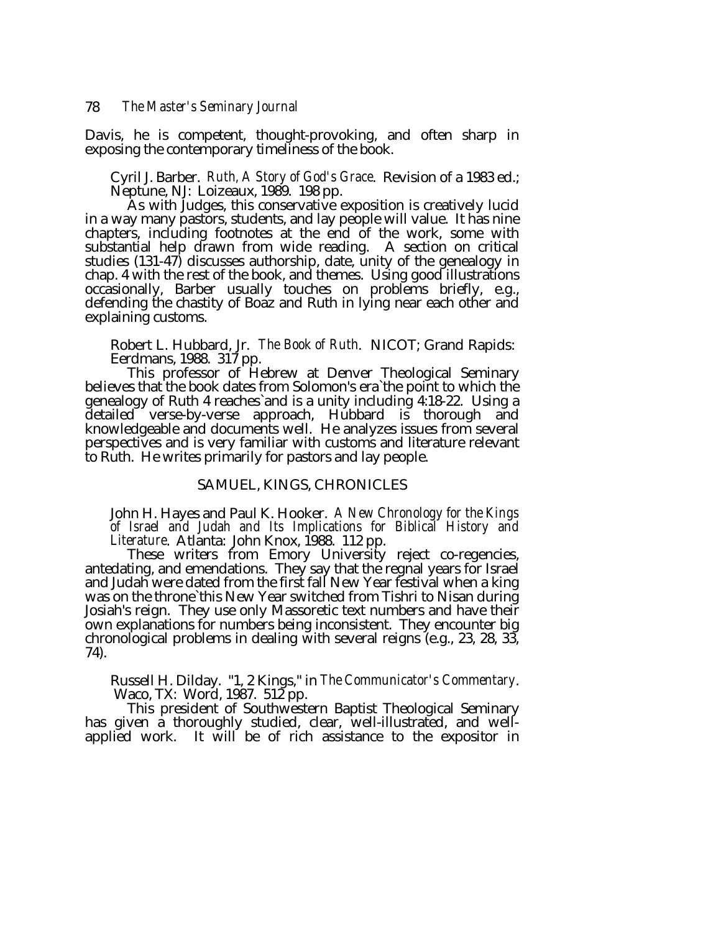Davis, he is competent, thought-provoking, and often sharp in exposing the contemporary timeliness of the book.

Cyril J. Barber. *Ruth, A Story of God's Grace*. Revision of a 1983 ed.; Neptune, NJ: Loizeaux, 1989. 198 pp.<br>As with Judges, this conservative exposition is creatively lucid

in a way many pastors, students, and lay people will value. It has nine chapters, including footnotes at the end of the work, some with substantial help drawn from wide reading. A section on critical studies (131-47) discusses authorship, date, unity of the genealogy in chap. 4 with the rest of the book, and themes. Using good illustrations occasionally, Barber usually touches on problems briefly, e.g., defending the chastity of Boaz and Ruth in lying near each other and explaining customs.

Robert L. Hubbard, Jr. *The Book of Ruth*. NICOT; Grand Rapids: Eerdmans, 1988. 317 pp.<br>This professor of Hebrew at Denver Theological Seminary

believes that the book dates from Solomon's era`the point to which the genealogy of Ruth 4 reaches`and is a unity including 4:18-22. Using a detailed verse-by-verse approach, Hubbard is thorough and knowledgeable and documents well. He analyzes issues from several perspectives and is very familiar with customs and literature relevant to Ruth. He writes primarily for pastors and lay people.

# SAMUEL, KINGS, CHRONICLES

John H. Hayes and Paul K. Hooker. *A New Chronology for the Kings of Israel and Judah and Its Implications for Biblical History and Literature*. Atlanta: John Knox, 1988. 112 pp.<br>These writers from Emory University reject co-regencies,

antedating, and emendations. They say that the regnal years for Israel and Judah were dated from the first fall New Year festival when a king was on the throne`this New Year switched from Tishri to Nisan during Josiah's reign. They use only Massoretic text numbers and have their own explanations for numbers being inconsistent. They encounter big chronological problems in dealing with several reigns (e.g., 23, 28, 33, 74).

Russell H. Dilday. "1, 2 Kings," in *The Communicator's Commentary*. Waco, TX: Word, 1987. 512 pp.

has given a thoroughly studied, clear, well-illustrated, and wellapplied work. It will be of rich assistance to the expositor in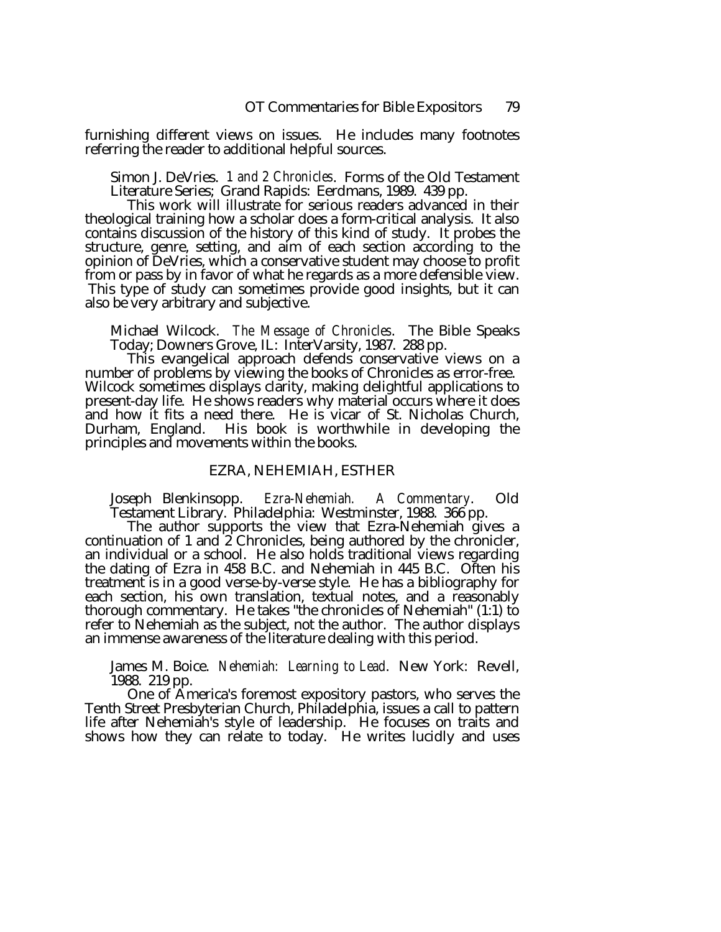furnishing different views on issues. He includes many footnotes referring the reader to additional helpful sources.

Simon J. DeVries. *1 and 2 Chronicles*. Forms of the Old Testament Literature Series; Grand Rapids: Eerdmans, 1989. 439 pp.

This work will illustrate for serious readers advanced in their theological training how a scholar does a form-critical analysis. It also contains discussion of the history of this kind of study. It probes the structure, genre, setting, and aim of each section according to the opinion of DeVries, which a conservative student may choose to profit from or pass by in favor of what he regards as a more defensible view. This type of study can sometimes provide good insights, but it can also be very arbitrary and subjective.

Michael Wilcock. *The Message of Chronicles*. The Bible Speaks

This evangelical approach defends conservative views on a number of problems by viewing the books of Chronicles as error-free. Wilcock sometimes displays clarity, making delightful applications to present-day life. He shows readers why material occurs where it does and how it fits a need there. He is vicar of St. Nicholas Church, Durham, England. His book is worthwhile in developing the principles and movements within the books.

# EZRA, NEHEMIAH, ESTHER

Joseph Blenkinsopp. *Ezra-Nehemiah. A Commentary*. Old

The author supports the view that Ezra-Nehemiah gives a continuation of 1 and 2 Chronicles, being authored by the chronicler, an individual or a school. He also holds traditional views regarding the dating of Ezra in 458 B.C. and Nehemiah in 445 B.C. Often his treatment is in a good verse-by-verse style. He has a bibliography for each section, his own translation, textual notes, and a reasonably thorough commentary. He takes "the chronicles of Nehemiah" (1:1) to refer to Nehemiah as the subject, not the author. The author displays an immense awareness of the literature dealing with this period.

James M. Boice. *Nehemiah: Learning to Lead*. New York: Revell,

1988. 219 pp.<br>One of America's foremost expository pastors, who serves the Tenth Street Presbyterian Church, Philadelphia, issues a call to pattern life after Nehemiah's style of leadership. He focuses on traits and shows how they can relate to today. He writes lucidly and uses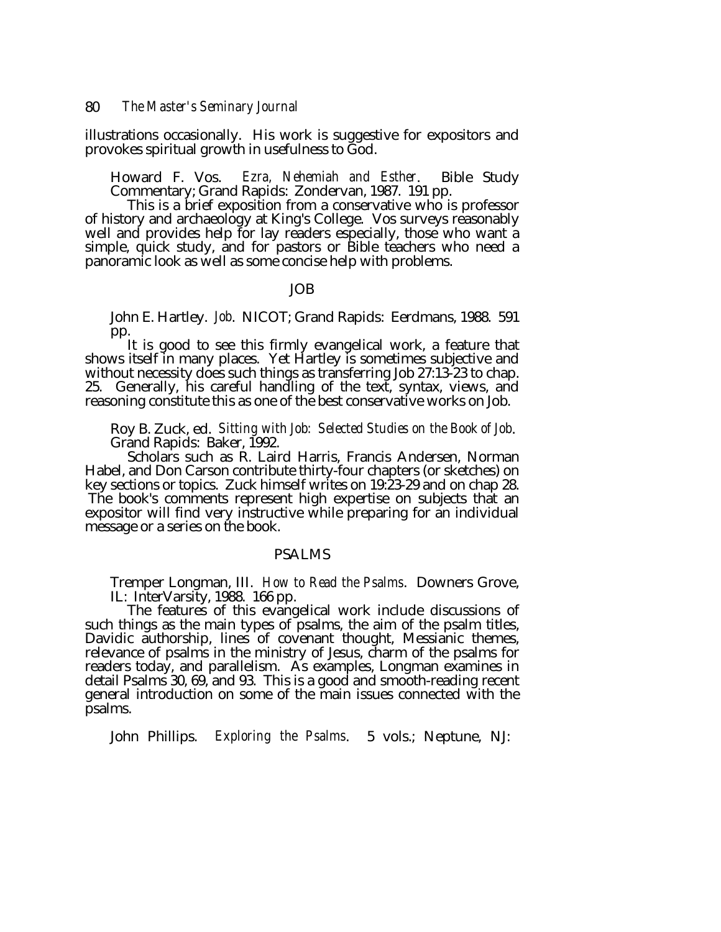illustrations occasionally. His work is suggestive for expositors and provokes spiritual growth in usefulness to God.

Howard F. Vos. *Ezra, Nehemiah and Esther*. Bible Study Commentary; Grand Rapids: Zondervan, 1987. 191 pp. This is a brief exposition from a conservative who is professor

of history and archaeology at King's College. Vos surveys reasonably well and provides help for lay readers especially, those who want a simple, quick study, and for pastors or Bible teachers who need a panoramic look as well as some concise help with problems.

#### JOB

John E. Hartley. *Job*. NICOT; Grand Rapids: Eerdmans, 1988. 591 pp.

It is good to see this firmly evangelical work, a feature that shows itself in many places. Yet Hartley is sometimes subjective and without necessity does such things as transferring Job 27:13-23 to chap. 25. Generally, his careful handling of the text, syntax, views, and reasoning constitute this as one of the best conservative works on Job.

Roy B. Zuck, ed. *Sitting with Job: Selected Studies on the Book of Job*. Grand Rapids: Baker, 1992.

Scholars such as R. Laird Harris, Francis Andersen, Norman Habel, and Don Carson contribute thirty-four chapters (or sketches) on key sections or topics. Zuck himself writes on 19:23-29 and on chap 28. The book's comments represent high expertise on subjects that an expositor will find very instructive while preparing for an individual message or a series on the book.

# PSALMS

Tremper Longman, III. *How to Read the Psalms*. Downers Grove,

IL: InterVarsity, 1988. 166 pp.<br>The features of this evangelical work include discussions of such things as the main types of psalms, the aim of the psalm titles, Davidic authorship, lines of covenant thought, Messianic themes, relevance of psalms in the ministry of Jesus, charm of the psalms for readers today, and parallelism. As examples, Longman examines in detail Psalms 30, 69, and 93. This is a good and smooth-reading recent general introduction on some of the main issues connected with the psalms.

John Phillips. *Exploring the Psalms*. 5 vols.; Neptune, NJ: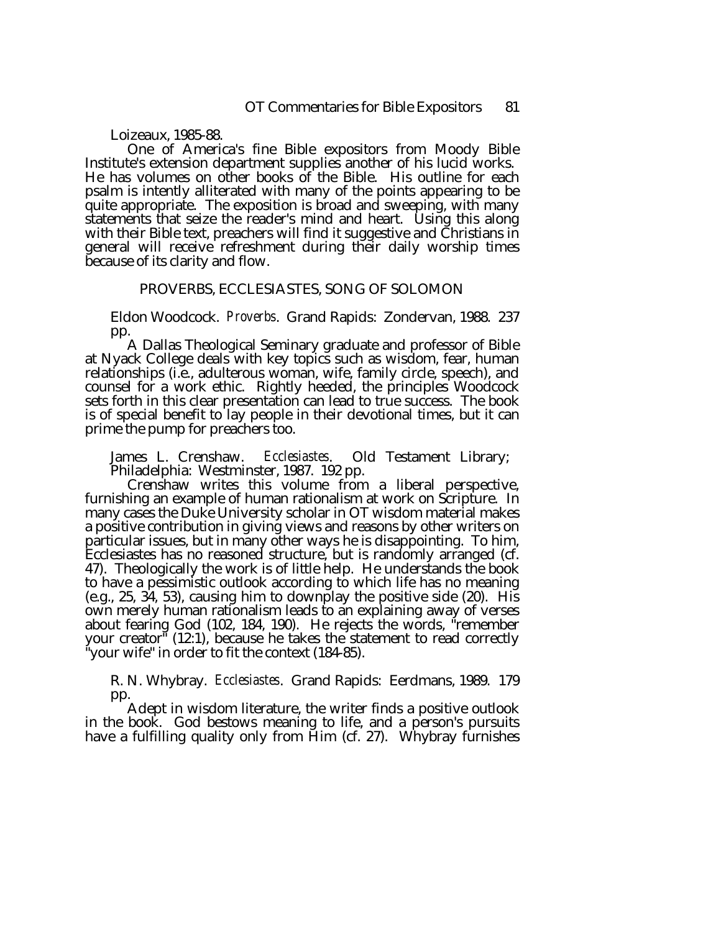Loizeaux, 1985-88.

One of America's fine Bible expositors from Moody Bible Institute's extension department supplies another of his lucid works. He has volumes on other books of the Bible. His outline for each psalm is intently alliterated with many of the points appearing to be quite appropriate. The exposition is broad and sweeping, with many statements that seize the reader's mind and heart. Using this along with their Bible text, preachers will find it suggestive and Christians in general will receive refreshment during their daily worship times because of its clarity and flow.

#### PROVERBS, ECCLESIASTES, SONG OF SOLOMON

Eldon Woodcock. *Proverbs*. Grand Rapids: Zondervan, 1988. 237

pp.<br>A Dallas Theological Seminary graduate and professor of Bible at Nyack College deals with key topics such as wisdom, fear, human relationships (i.e., adulterous woman, wife, family circle, speech), and counsel for a work ethic. Rightly heeded, the principles Woodcock sets forth in this clear presentation can lead to true success. The book is of special benefit to lay people in their devotional times, but it can prime the pump for preachers too.

James L. Crenshaw. *Ecclesiastes*. Old Testament Library; Philadelphia: Westminster, 1987. 192 pp.

Crenshaw writes this volume from a liberal perspective, furnishing an example of human rationalism at work on Scripture. In many cases the Duke University scholar in OT wisdom material makes a positive contribution in giving views and reasons by other writers on particular issues, but in many other ways he is disappointing. To him, Ecclesiastes has no reasoned structure, but is randomly arranged (cf. 47). Theologically the work is of little help. He understands the book to have a pessimistic outlook according to which life has no meaning (e.g., 25, 34, 53), causing him to downplay the positive side (20). His own merely human rationalism leads to an explaining away of verses about fearing God (102, 184, 190). He rejects the words, "remember your creator" (12:1), because he takes the statement to read correctly "your wife" in order to fit the context (184-85).

R. N. Whybray. *Ecclesiastes*. Grand Rapids: Eerdmans, 1989. 179 pp.

Adept in wisdom literature, the writer finds a positive outlook in the book. God bestows meaning to life, and a person's pursuits have a fulfilling quality only from Him (cf. 27). Whybray furnishes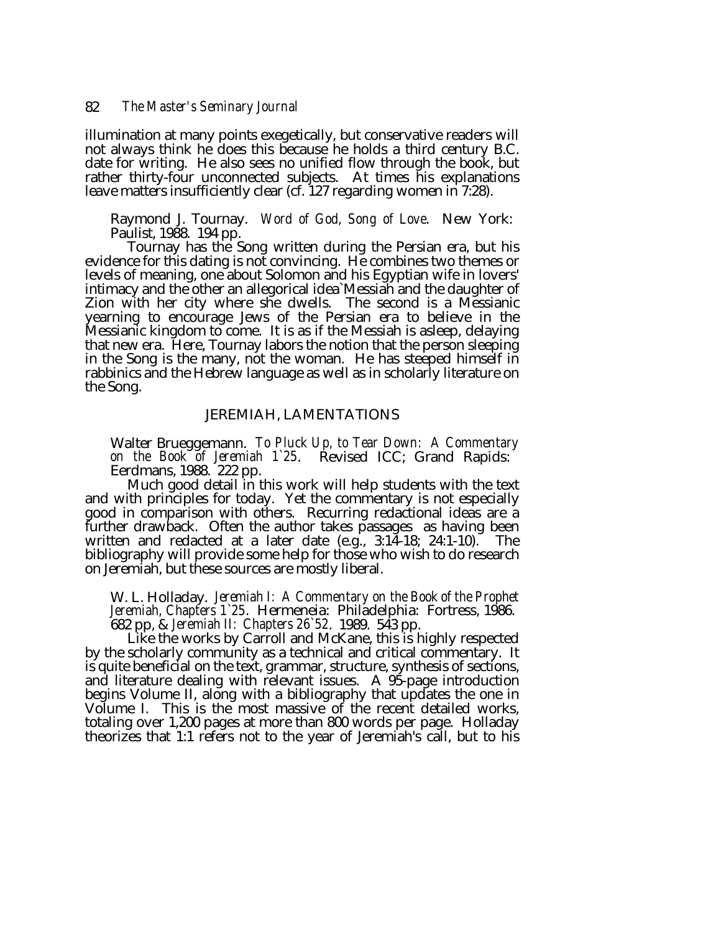illumination at many points exegetically, but conservative readers will not always think he does this because he holds a third century B.C. date for writing. He also sees no unified flow through the book, but rather thirty-four unconnected subjects. At times his explanations leave matters insufficiently clear (cf. 127 regarding women in 7:28).

Raymond J. Tournay. *Word of God, Song of Love*. New York: Paulist, 1988. 194 pp.<br>Tournay has the Song written during the Persian era, but his

evidence for this dating is not convincing. He combines two themes or levels of meaning, one about Solomon and his Egyptian wife in lovers' intimacy and the other an allegorical idea`Messiah and the daughter of Zion with her city where she dwells. The second is a Messianic yearning to encourage Jews of the Persian era to believe in the Messianic kingdom to come. It is as if the Messiah is asleep, delaying that new era. Here, Tournay labors the notion that the person sleeping in the Song is the many, not the woman. He has steeped himself in rabbinics and the Hebrew language as well as in scholarly literature on the Song.

# JEREMIAH, LAMENTATIONS

Walter Brueggemann. *To Pluck Up, to Tear Down: A Commentary on the Book of Jeremiah 1`25*. Revised ICC; Grand Rapids: Eerdmans, 1988. 222 pp.

Much good detail in this work will help students with the text and with principles for today. Yet the commentary is not especially good in comparison with others. Recurring redactional ideas are a further drawback. Often the author takes passages as having been written and redacted at a later date  $(e.g., 3:14-18; 24:1-10)$ . The bibliography will provide some help for those who wish to do research on Jeremiah, but these sources are mostly liberal.

W. L. Holladay. *Jeremiah I: A Commentary on the Book of the Prophet Jeremiah, Chapters 1`25*. Hermeneia: Philadelphia: Fortress, 1986. 682 pp, & *Jeremiah II: Chapters 26`52*. 1989. 543 pp.

by the scholarly community as a technical and critical commentary. It is quite beneficial on the text, grammar, structure, synthesis of sections, and literature dealing with relevant issues. A 95-page introduction begins Volume II, along with a bibliography that updates the one in Volume I. This is the most massive of the recent detailed works, totaling over 1,200 pages at more than 800 words per page. Holladay theorizes that 1:1 refers not to the year of Jeremiah's call, but to his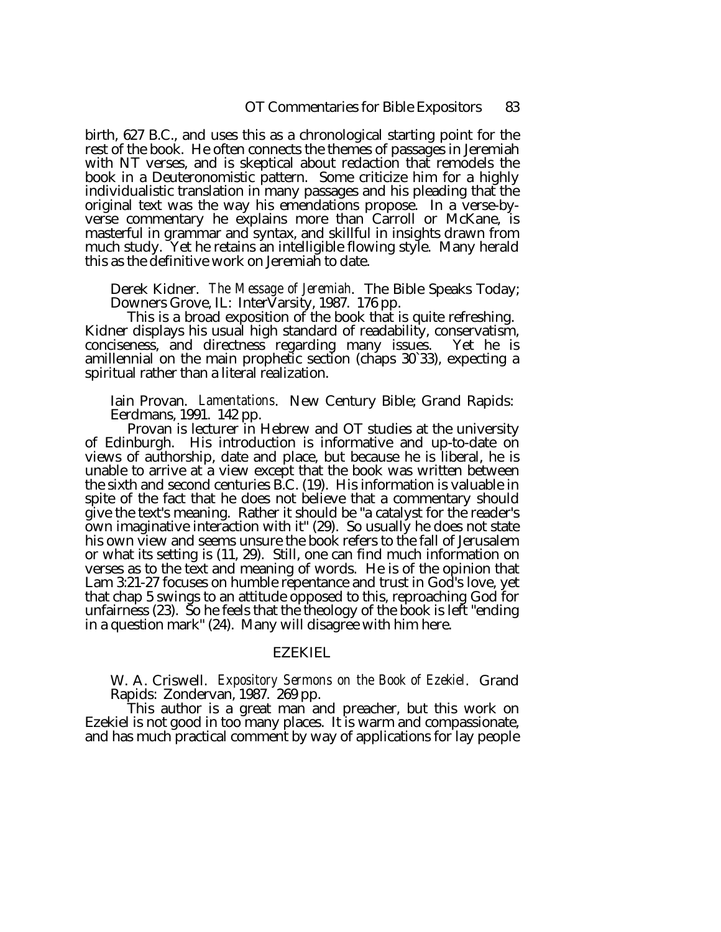birth, 627 B.C., and uses this as a chronological starting point for the rest of the book. He often connects the themes of passages in Jeremiah with NT verses, and is skeptical about redaction that remodels the book in a Deuteronomistic pattern. Some criticize him for a highly individualistic translation in many passages and his pleading that the original text was the way his emendations propose. In a verse-byverse commentary he explains more than Carroll or McKane, is masterful in grammar and syntax, and skillful in insights drawn from much study. Yet he retains an intelligible flowing style. Many herald this as the definitive work on Jeremiah to date.

Derek Kidner. *The Message of Jeremiah*. The Bible Speaks Today;

This is a broad exposition of the book that is quite refreshing.<br>Kidner displays his usual high standard of readability, conservatism, conciseness, and directness regarding many issues. Yet he is amillennial on the main prophetic section (chaps 30`33), expecting a spiritual rather than a literal realization.

Iain Provan. *Lamentations*. New Century Bible; Grand Rapids: Eerdmans, 1991. 142 pp.

Provan is lecturer in Hebrew and OT studies at the university of Edinburgh. His introduction is informative and up-to-date on views of authorship, date and place, but because he is liberal, he is unable to arrive at a view except that the book was written between the sixth and second centuries B.C. (19). His information is valuable in spite of the fact that he does not believe that a commentary should give the text's meaning. Rather it should be "a catalyst for the reader's own imaginative interaction with it" (29). So usually he does not state his own view and seems unsure the book refers to the fall of Jerusalem or what its setting is (11, 29). Still, one can find much information on verses as to the text and meaning of words. He is of the opinion that Lam 3:21-27 focuses on humble repentance and trust in God's love, yet that chap 5 swings to an attitude opposed to this, reproaching God for unfairness (23). So he feels that the theology of the book is left "ending in a question mark" (24). Many will disagree with him here.

# EZEKIEL

W. A. Criswell. *Expository Sermons on the Book of Ezekiel*. Grand Rapids: Zondervan, 1987. 269 pp.<br>This author is a great man and preacher, but this work on

Ezekiel is not good in too many places. It is warm and compassionate, and has much practical comment by way of applications for lay people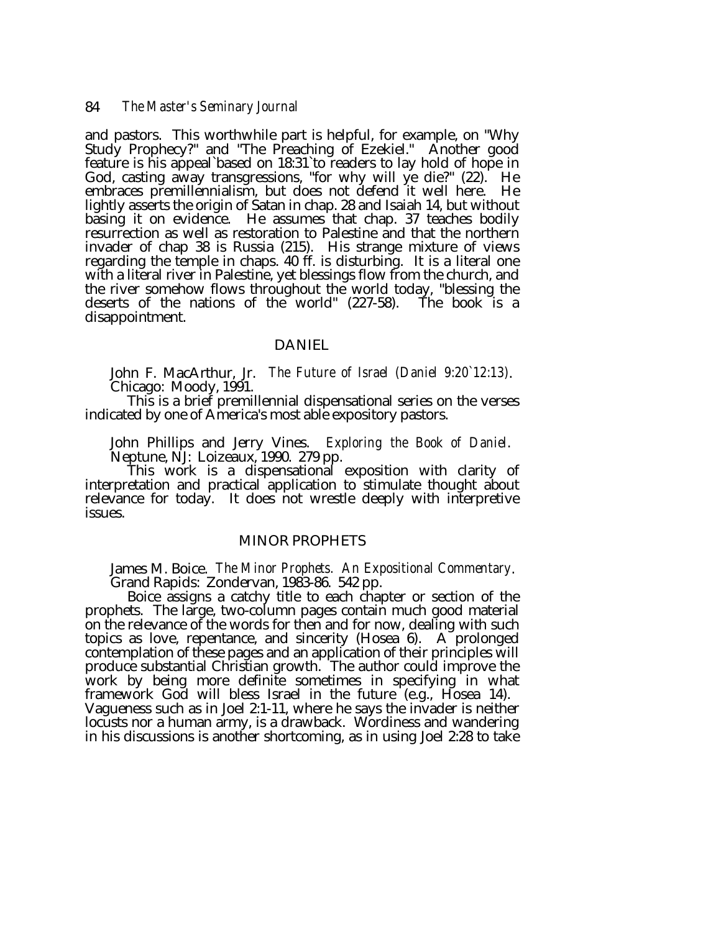and pastors. This worthwhile part is helpful, for example, on "Why Study Prophecy?" and "The Preaching of Ezekiel." Another good feature is his appeal`based on 18:31`to readers to lay hold of hope in God, casting away transgressions, "for why will ye die?" (22). He embraces premillennialism, but does not defend it well here. He lightly asserts the origin of Satan in chap. 28 and Isaiah 14, but without basing it on evidence. He assumes that chap. 37 teaches bodily resurrection as well as restoration to Palestine and that the northern invader of chap 38 is Russia (215). His strange mixture of views regarding the temple in chaps. 40 ff. is disturbing. It is a literal one with a literal river in Palestine, yet blessings flow from the church, and the river somehow flows throughout the world today, "blessing the deserts of the nations of the world" (227-58). The book is a disappointment.

# DANIEL

John F. MacArthur, Jr. *The Future of Israel (Daniel 9:20`12:13)*. Chicago: Moody, 1991. This is a brief premillennial dispensational series on the verses

indicated by one of America's most able expository pastors.

John Phillips and Jerry Vines. *Exploring the Book of Daniel*. Neptune, NJ: Loizeaux, 1990. 279 pp.

interpretation and practical application to stimulate thought about relevance for today. It does not wrestle deeply with interpretive issues.

#### MINOR PROPHETS

James M. Boice. *The Minor Prophets. An Expositional Commentary*. Grand Rapids: Zondervan, 1983-86. 542 pp.

prophets. The large, two-column pages contain much good material on the relevance of the words for then and for now, dealing with such topics as love, repentance, and sincerity (Hosea 6). A prolonged contemplation of these pages and an application of their principles will produce substantial Christian growth. The author could improve the work by being more definite sometimes in specifying in what framework God will bless Israel in the future (e.g., Hosea 14). Vagueness such as in Joel 2:1-11, where he says the invader is neither locusts nor a human army, is a drawback. Wordiness and wandering in his discussions is another shortcoming, as in using Joel 2:28 to take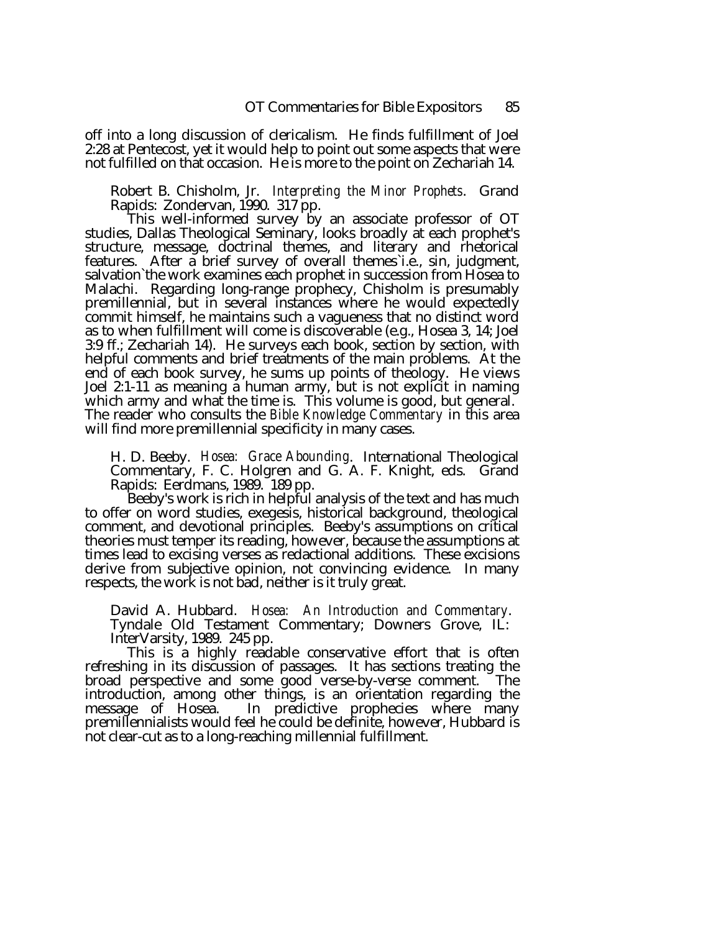off into a long discussion of clericalism. He finds fulfillment of Joel 2:28 at Pentecost, yet it would help to point out some aspects that were not fulfilled on that occasion. He is more to the point on Zechariah 14.

Robert B. Chisholm, Jr. *Interpreting the Minor Prophets*. Grand Rapids: Zondervan, 1990. 317 pp.<br>This well-informed survey by an associate professor of OT

studies, Dallas Theological Seminary, looks broadly at each prophet's structure, message, doctrinal themes, and literary and rhetorical features. After a brief survey of overall themes i.e., sin, judgment, salvation`the work examines each prophet in succession from Hosea to Malachi. Regarding long-range prophecy, Chisholm is presumably premillennial, but in several instances where he would expectedly commit himself, he maintains such a vagueness that no distinct word as to when fulfillment will come is discoverable (e.g., Hosea 3, 14; Joel 3:9 ff.; Zechariah 14). He surveys each book, section by section, with helpful comments and brief treatments of the main problems. At the end of each book survey, he sums up points of theology. He views Joel 2:1-11 as meaning a human army, but is not explicit in naming which army and what the time is. This volume is good, but general. The reader who consults the *Bible Knowledge Commentary* in this area will find more premillennial specificity in many cases.

H. D. Beeby. *Hosea: Grace Abounding*. International Theological Commentary, F. C. Holgren and G. A. F. Knight, eds. Grand

Rapids: Eerdmans, 1989. 189 pp.<br>Beeby's work is rich in helpful analysis of the text and has much to offer on word studies, exegesis, historical background, theological comment, and devotional principles. Beeby's assumptions on critical theories must temper its reading, however, because the assumptions at times lead to excising verses as redactional additions. These excisions derive from subjective opinion, not convincing evidence. In many respects, the work is not bad, neither is it truly great.

David A. Hubbard. *Hosea: An Introduction and Commentary*. Tyndale Old Testament Commentary; Downers Grove, IL:

This is a highly readable conservative effort that is often refreshing in its discussion of passages. It has sections treating the broad perspective and some good verse-by-verse comment. The introduction, among other things, is an orientation regarding the message of Hosea. In predictive prophecies where many premillennialists would feel he could be definite, however, Hubbard is not clear-cut as to a long-reaching millennial fulfillment.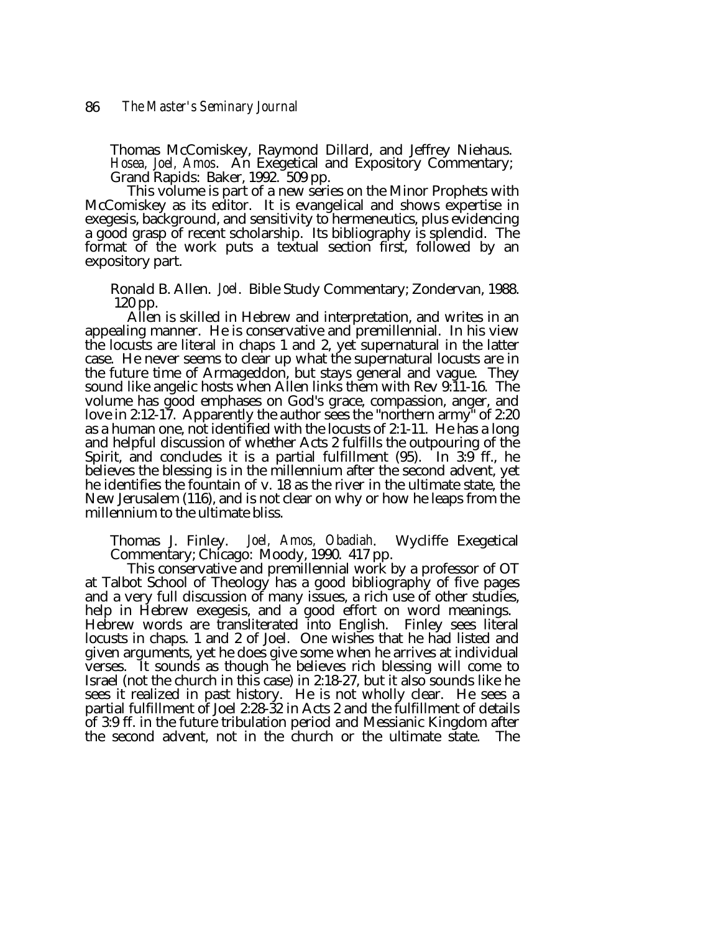Thomas McComiskey, Raymond Dillard, and Jeffrey Niehaus. *Hosea, Joel, Amos*. An Exegetical and Expository Commentary; Grand Rapids: Baker, 1992. 509 pp.

This volume is part of a new series on the Minor Prophets with McComiskey as its editor. It is evangelical and shows expertise in exegesis, background, and sensitivity to hermeneutics, plus evidencing a good grasp of recent scholarship. Its bibliography is splendid. The format of the work puts a textual section first, followed by an expository part.

Ronald B. Allen. *Joel*. Bible Study Commentary; Zondervan, 1988. 120 pp.

Allen is skilled in Hebrew and interpretation, and writes in an appealing manner. He is conservative and premillennial. In his view the locusts are literal in chaps 1 and 2, yet supernatural in the latter case. He never seems to clear up what the supernatural locusts are in the future time of Armageddon, but stays general and vague. They sound like angelic hosts when Allen links them with Rev 9:11-16. The volume has good emphases on God's grace, compassion, anger, and love in 2:12-17. Apparently the author sees the "northern army" of 2:20 as a human one, not identified with the locusts of 2:1-11. He has a long and helpful discussion of whether Acts 2 fulfills the outpouring of the Spirit, and concludes it is a partial fulfillment (95). In 3:9 ff., he believes the blessing is in the millennium after the second advent, yet he identifies the fountain of v. 18 as the river in the ultimate state, the New Jerusalem (116), and is not clear on why or how he leaps from the millennium to the ultimate bliss.

Thomas J. Finley. *Joel, Amos, Obadiah*. Wycliffe Exegetical Commentary; Chicago: Moody, 1990. 417 pp.<br>This conservative and premillennial work by a professor of OT<br>at Talbot School of Theology has a good bibliography of f and a very full discussion of many issues, a rich use of other studies, help in Hebrew exegesis, and a good effort on word meanings. Hebrew words are transliterated into English. Finley sees literal locusts in chaps. 1 and 2 of Joel. One wishes that he had listed and given arguments, yet he does give some when he arrives at individual verses. It sounds as though he believes rich blessing will come to Israel (not the church in this case) in 2:18-27, but it also sounds like he sees it realized in past history. He is not wholly clear. He sees a partial fulfillment of Joel 2:28-32 in Acts 2 and the fulfillment of details of 3:9 ff. in the future tribulation period and Messianic Kingdom after the second advent, not in the church or the ultimate state. The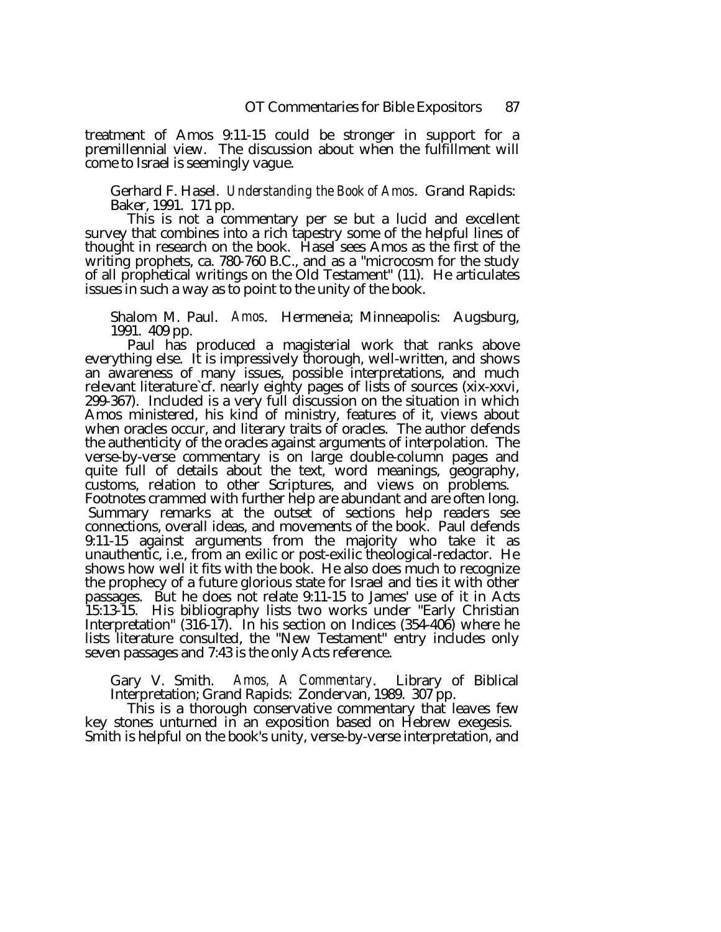treatment of Amos 9:11-15 could be stronger in support for a premillennial view. The discussion about when the fulfillment will come to Israel is seemingly vague.

Gerhard F. Hasel. *Understanding the Book of Amos*. Grand Rapids: Baker, 1991. 171 pp.

This is not a commentary per se but a lucid and excellent survey that combines into a rich tapestry some of the helpful lines of thought in research on the book. Hasel sees Amos as the first of the writing prophets, ca. 780-760 B.C., and as a "microcosm for the study of all prophetical writings on the Old Testament" (11). He articulates issues in such a way as to point to the unity of the book.

Shalom M. Paul. *Amos*. Hermeneia; Minneapolis: Augsburg, 1991. 409 pp.

Paul has produced a magisterial work that ranks above everything else. It is impressively thorough, well-written, and shows an awareness of many issues, possible interpretations, and much relevant literature`cf. nearly eighty pages of lists of sources (xix-xxvi, 299-367). Included is a very full discussion on the situation in which Amos ministered, his kind of ministry, features of it, views about when oracles occur, and literary traits of oracles. The author defends the authenticity of the oracles against arguments of interpolation. The verse-by-verse commentary is on large double-column pages and quite full of details about the text, word meanings, geography, customs, relation to other Scriptures, and views on problems. Footnotes crammed with further help are abundant and are often long. Summary remarks at the outset of sections help readers see connections, overall ideas, and movements of the book. Paul defends 9:11-15 against arguments from the majority who take it as unauthentic, i.e., from an exilic or post-exilic theological-redactor. He shows how well it fits with the book. He also does much to recognize the prophecy of a future glorious state for Israel and ties it with other passages. But he does not relate 9:11-15 to James' use of it in Acts 15:13-15. His bibliography lists two works under "Early Christian Interpretation" (316-17). In his section on Indices (354-406) where he lists literature consulted, the "New Testament" entry includes only

Gary V. Smith. *Amos, A Commentary*. Library of Biblical Interpretation; Grand Rapids: Zondervan, 1989. 307 pp.<br>This is a thorough conservative commentary that leaves few

key stones unturned in an exposition based on Hebrew exegesis. Smith is helpful on the book's unity, verse-by-verse interpretation, and

seven passages and 7:43 is the only Acts reference.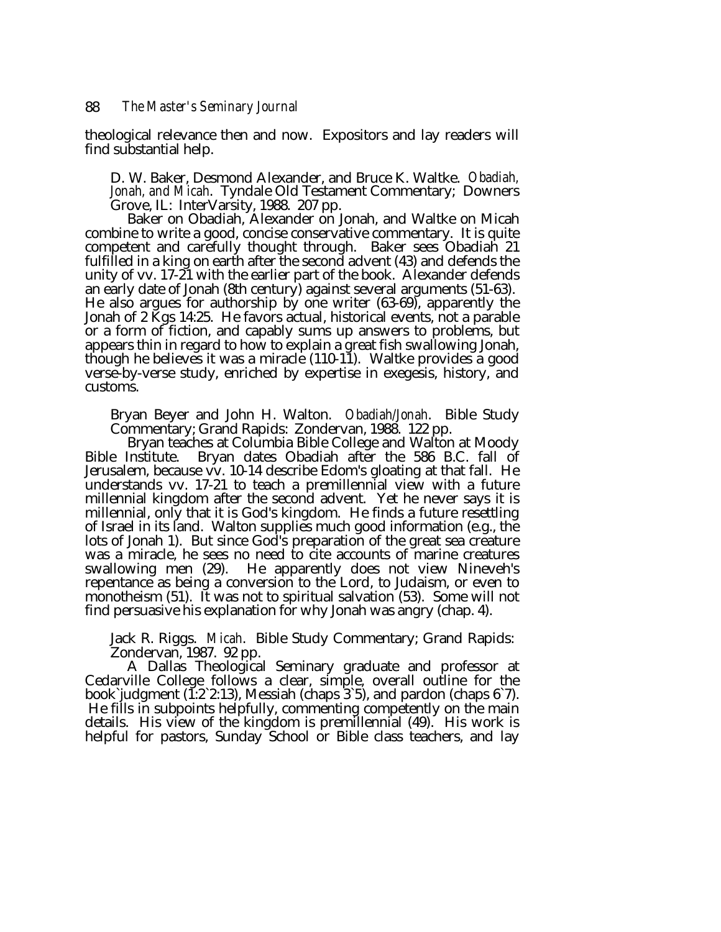theological relevance then and now. Expositors and lay readers will find substantial help.

D. W. Baker, Desmond Alexander, and Bruce K. Waltke. *Obadiah, Jonah, and Micah*. Tyndale Old Testament Commentary; Downers

Baker on Obadiah, Alexander on Jonah, and Waltke on Micah combine to write a good, concise conservative commentary. It is quite competent and carefully thought through. Baker sees Obadiah 21 fulfilled in a king on earth after the second advent (43) and defends the unity of vv. 17-21 with the earlier part of the book. Alexander defends an early date of Jonah (8th century) against several arguments (51-63). He also argues for authorship by one writer (63-69), apparently the Jonah of 2 Kgs 14:25. He favors actual, historical events, not a parable or a form of fiction, and capably sums up answers to problems, but appears thin in regard to how to explain a great fish swallowing Jonah, though he believes it was a miracle  $(110-1\tilde{1})$ . Waltke provides a good verse-by-verse study, enriched by expertise in exegesis, history, and customs.

Bryan Beyer and John H. Walton. *Obadiah/Jonah*. Bible Study<br>Commentary; Grand Rapids: Zondervan, 1988. 122 pp.<br>Bryan teaches at Columbia Bible College and Walton at Moody<br>Bible Institute. Bryan dates Obadiah after the 586

Jerusalem, because vv. 10-14 describe Edom's gloating at that fall. He understands vv. 17-21 to teach a premillennial view with a future millennial kingdom after the second advent. Yet he never says it is millennial, only that it is God's kingdom. He finds a future resettling of Israel in its land. Walton supplies much good information (e.g., the lots of Jonah 1). But since God's preparation of the great sea creature was a miracle, he sees no need to cite accounts of marine creatures swallowing men (29). He apparently does not view Nineveh's repentance as being a conversion to the Lord, to Judaism, or even to monotheism (51). It was not to spiritual salvation (53). Some will not find persuasive his explanation for why Jonah was angry (chap. 4).

Jack R. Riggs. *Micah*. Bible Study Commentary; Grand Rapids: Zondervan, 1987. 92 pp.

Cedarville College follows a clear, simple, overall outline for the book`judgment (1:2`2:13), Messiah (chaps 3`5), and pardon (chaps 6`7). He fills in subpoints helpfully, commenting competently on the main details. His view of the kingdom is premillennial (49). His work is helpful for pastors, Sunday School or Bible class teachers, and lay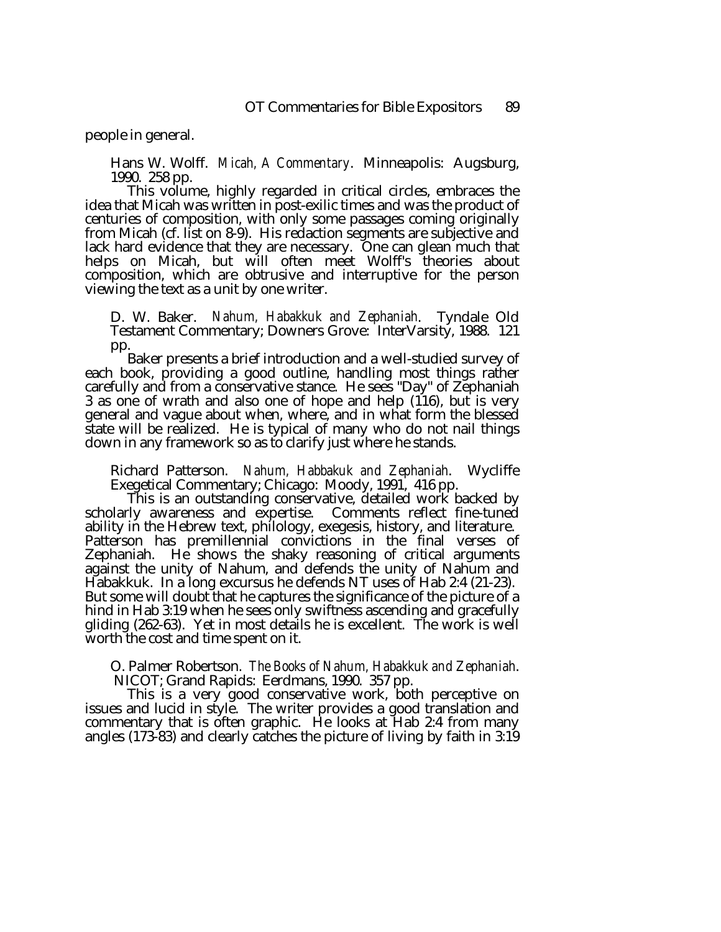people in general.

Hans W. Wolff. *Micah, A Commentary*. Minneapolis: Augsburg, 1990. 258 pp.<br>This volume, highly regarded in critical circles, embraces the

idea that Micah was written in post-exilic times and was the product of centuries of composition, with only some passages coming originally from Micah (cf. list on 8-9). His redaction segments are subjective and lack hard evidence that they are necessary. One can glean much that helps on Micah, but will often meet Wolff's theories about composition, which are obtrusive and interruptive for the person viewing the text as a unit by one writer.

D. W. Baker. *Nahum, Habakkuk and Zephaniah*. Tyndale Old Testament Commentary; Downers Grove: InterVarsity, 1988. 121

pp.<br>Baker presents a brief introduction and a well-studied survey of each book, providing a good outline, handling most things rather carefully and from a conservative stance. He sees "Day" of Zephaniah 3 as one of wrath and also one of hope and help (116), but is very general and vague about when, where, and in what form the blessed state will be realized. He is typical of many who do not nail things down in any framework so as to clarify just where he stands.

Richard Patterson. *Nahum, Habbakuk and Zephaniah*. Wycliffe<br>Exegetical Commentary; Chicago: Moody, 1991, 416 pp.<br>This is an outstanding conservative, detailed work backed by<br>scholarly awareness and expertise. Comments ref ability in the Hebrew text, philology, exegesis, history, and literature. Patterson has premillennial convictions in the final verses of Zephaniah. He shows the shaky reasoning of critical arguments against the unity of Nahum, and defends the unity of Nahum and Habakkuk. In a long excursus he defends NT uses of Hab 2:4 (21-23). But some will doubt that he captures the significance of the picture of a hind in Hab 3:19 when he sees only swiftness ascending and gracefully gliding (262-63). Yet in most details he is excellent. The work is well worth the cost and time spent on it.

O. Palmer Robertson. *The Books of Nahum, Habakkuk and Zephaniah*. NICOT; Grand Rapids: Eerdmans, 1990. 357 pp.

issues and lucid in style. The writer provides a good translation and commentary that is often graphic. He looks at Hab 2:4 from many angles (173-83) and clearly catches the picture of living by faith in 3:19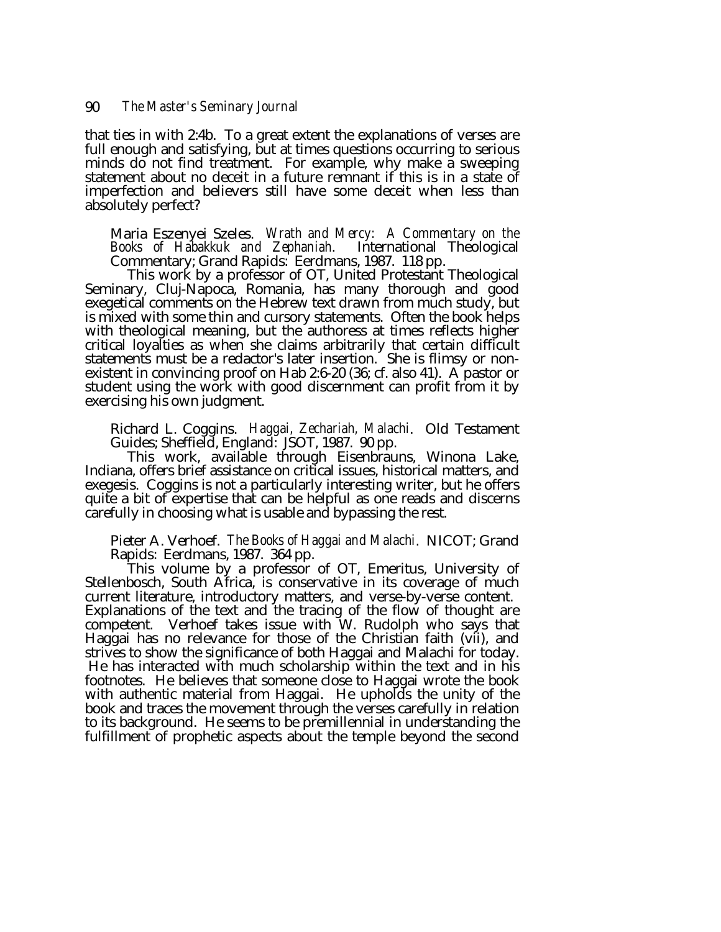that ties in with 2:4b. To a great extent the explanations of verses are full enough and satisfying, but at times questions occurring to serious minds do not find treatment. For example, why make a sweeping statement about no deceit in a future remnant if this is in a state of imperfection and believers still have some deceit when less than absolutely perfect?

Maria Eszenyei Szeles. *Wrath and Mercy: A Commentary on the Books of Habakkuk and Zephaniah*. International Theological Commentary; Grand Rapids: Eerdmans, 1987. 118 pp.<br>This work by a professor of OT, United Protestant T

exegetical comments on the Hebrew text drawn from much study, but is mixed with some thin and cursory statements. Often the book helps with theological meaning, but the authoress at times reflects higher critical loyalties as when she claims arbitrarily that certain difficult statements must be a redactor's later insertion. She is flimsy or nonexistent in convincing proof on Hab 2:6-20 (36; cf. also 41). A pastor or student using the work with good discernment can profit from it by exercising his own judgment.

Richard L. Coggins. *Haggai, Zechariah, Malachi*. Old Testament

This work, available through Eisenbrauns, Winona Lake, Indiana, offers brief assistance on critical issues, historical matters, and exegesis. Coggins is not a particularly interesting writer, but he offers quite a bit of expertise that can be helpful as one reads and discerns carefully in choosing what is usable and bypassing the rest.

Pieter A. Verhoef. *The Books of Haggai and Malachi*. NICOT; Grand Rapids: Eerdmans, 1987. 364 pp.<br>This volume by a professor of OT, Emeritus, University of

Stellenbosch, South Africa, is conservative in its coverage of much current literature, introductory matters, and verse-by-verse content. Explanations of the text and the tracing of the flow of thought are competent. Verhoef takes issue with W. Rudolph who says that Haggai has no relevance for those of the Christian faith (vii), and strives to show the significance of both Haggai and Malachi for today. He has interacted with much scholarship within the text and in his footnotes. He believes that someone close to Haggai wrote the book with authentic material from Haggai. He upholds the unity of the book and traces the movement through the verses carefully in relation to its background. He seems to be premillennial in understanding the fulfillment of prophetic aspects about the temple beyond the second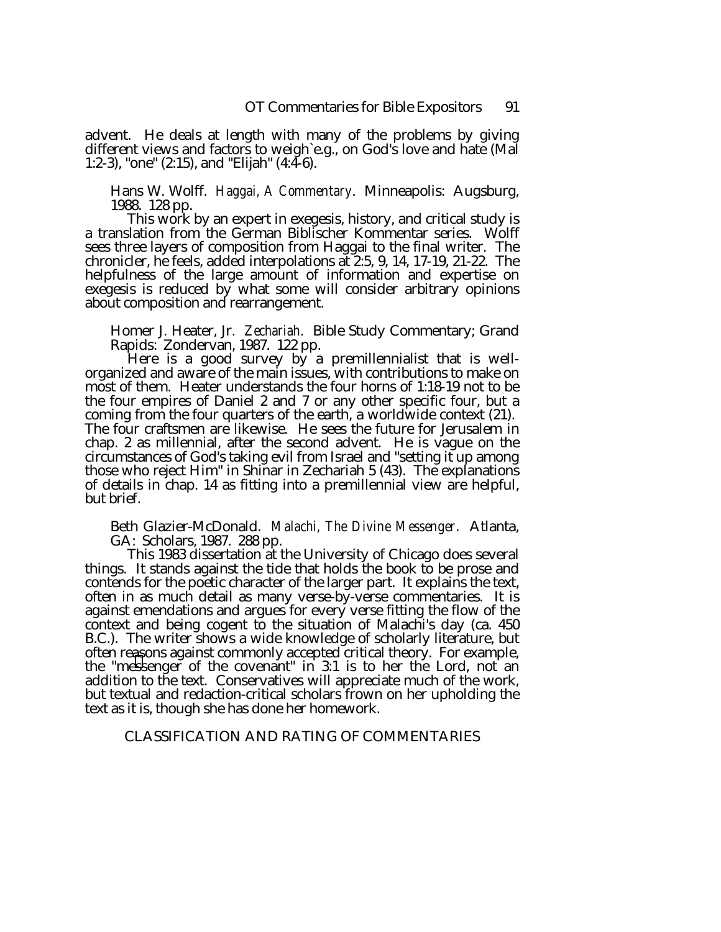advent. He deals at length with many of the problems by giving different views and factors to weigh`e.g., on God's love and hate (Mal 1:2-3), "one" (2:15), and "Elijah" (4:4-6).

Hans W. Wolff. *Haggai, A Commentary*. Minneapolis: Augsburg, 1988. 128 pp.

This work by an expert in exegesis, history, and critical study is a translation from the German Biblischer Kommentar series. Wolff sees three layers of composition from Haggai to the final writer. The chronicler, he feels, added interpolations at 2:5, 9, 14, 17-19, 21-22. The helpfulness of the large amount of information and expertise on exegesis is reduced by what some will consider arbitrary opinions about composition and rearrangement.

Homer J. Heater, Jr. *Zechariah*. Bible Study Commentary; Grand Rapids: Zondervan, 1987. 122 pp.

organized and aware of the main issues, with contributions to make on most of them. Heater understands the four horns of 1:18-19 not to be the four empires of Daniel 2 and 7 or any other specific four, but a coming from the four quarters of the earth, a worldwide context (21). The four craftsmen are likewise. He sees the future for Jerusalem in chap. 2 as millennial, after the second advent. He is vague on the circumstances of God's taking evil from Israel and "setting it up among those who reject Him" in Shinar in Zechariah 5 (43). The explanations of details in chap. 14 as fitting into a premillennial view are helpful, but brief.

Beth Glazier-McDonald. *Malachi, The Divine Messenger*. Atlanta, GA: Scholars, 1987. 288 pp.<br>This 1983 dissertation at the University of Chicago does several

things. It stands against the tide that holds the book to be prose and contends for the poetic character of the larger part. It explains the text, often in as much detail as many verse-by-verse commentaries. It is against emendations and argues for every verse fitting the flow of the context and being cogent to the situation of Malachi's day (ca. 450 B.C.). The writer shows a wide knowledge of scholarly literature, but often reasons against commonly accepted critical theory. For example, the "messenger of the covenant" in 3:1 is to her the Lord, not an addition to the text. Conservatives will appreciate much of the work, but textual and redaction-critical scholars frown on her upholding the text as it is, though she has done her homework.

# CLASSIFICATION AND RATING OF COMMENTARIES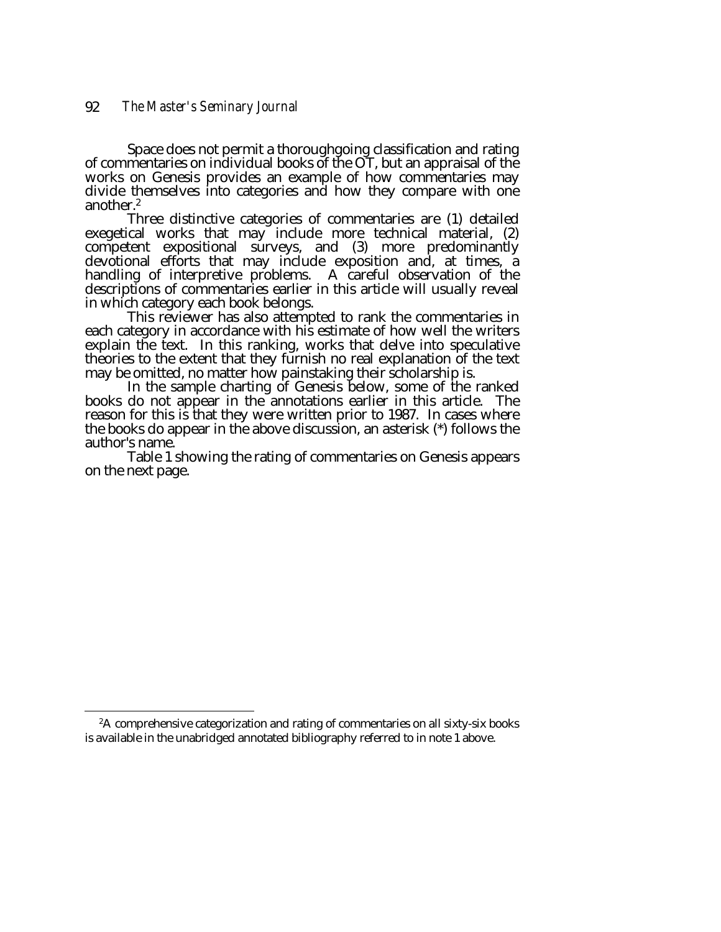Space does not permit a thoroughgoing classification and rating of commentaries on individual books of the OT, but an appraisal of the works on Genesis provides an example of how commentaries may divide themselves into categories and how they compare with one another.<sup>2</sup><br>Three distinctive categories of commentaries are (1) detailed

exegetical works that may include more technical material, (2) competent expositional surveys, and (3) more predominantly devotional efforts that may include exposition and, at times, a handling of interpretive problems. A careful observation of the descriptions of commentaries earlier in this article will usually reveal<br>in which category each book belongs.

This reviewer has also attempted to rank the commentaries in each category in accordance with his estimate of how well the writers explain the text. In this ranking, works that delve into speculative theories to the extent that they furnish no real explanation of the text<br>may be omitted, no matter how painstaking their scholarship is.

In the sample charting of Genesis below, some of the ranked books do not appear in the annotations earlier in this article. The reason for this is that they were written prior to 1987. In cases where the books do appear in the above discussion, an asterisk (\*) follows the author's name.

Table 1 showing the rating of commentaries on Genesis appears on the next page.

<sup>&</sup>lt;sup>2</sup>A comprehensive categorization and rating of commentaries on all sixty-six books is available in the unabridged annotated bibliography referred to in note 1 above.